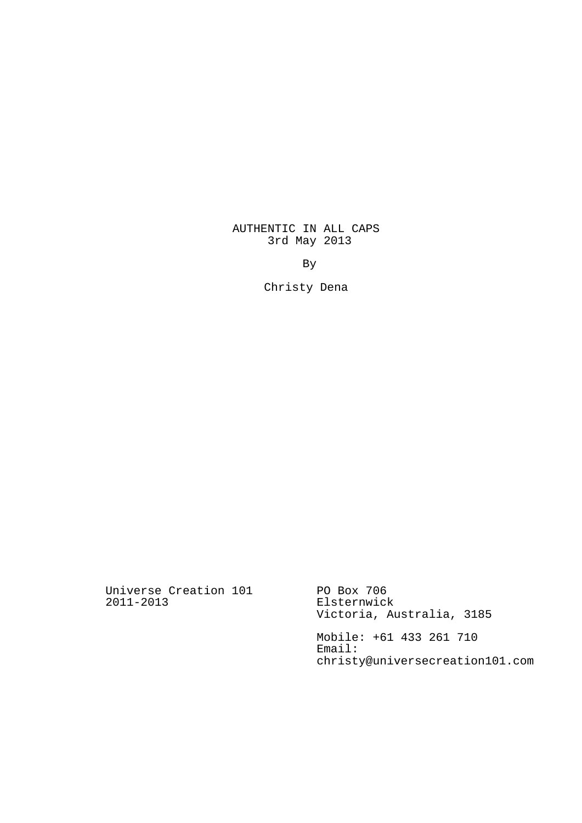AUTHENTIC IN ALL CAPS 3rd May 2013

By

Christy Dena

Universe Creation 101 2011-2013

PO Box 706 Elsternwick Victoria, Australia, 3185

Mobile: +61 433 261 710 Email: christy@universecreation101.com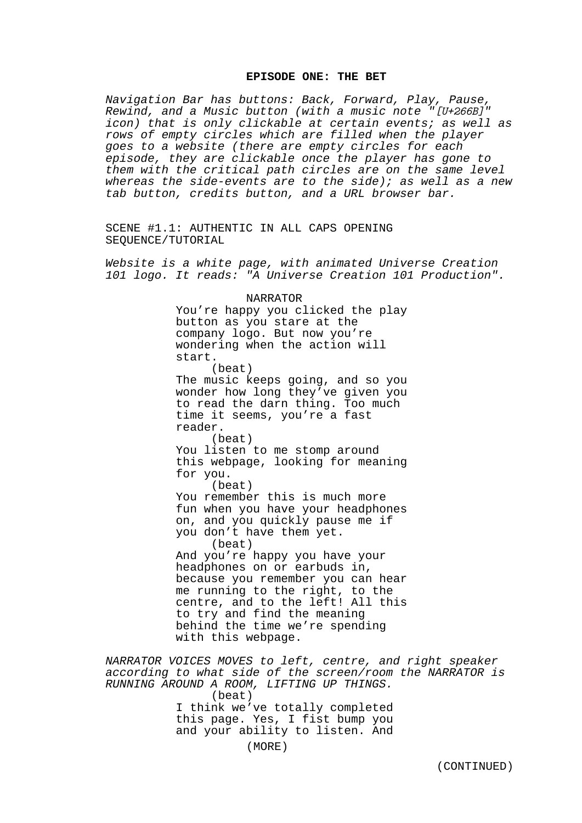### **EPISODE ONE: THE BET**

Navigation Bar has buttons: Back, Forward, Play, Pause, Rewind, and a Music button (with a music note "[U+266B]" icon) that is only clickable at certain events; as well as rows of empty circles which are filled when the player goes to a website (there are empty circles for each episode, they are clickable once the player has gone to them with the critical path circles are on the same level whereas the side-events are to the side); as well as a new tab button, credits button, and a URL browser bar.

SCENE #1.1: AUTHENTIC IN ALL CAPS OPENING SEQUENCE/TUTORIAL

Website is a white page, with animated Universe Creation 101 logo. It reads: "A Universe Creation 101 Production".

> NARRATOR You're happy you clicked the play button as you stare at the company logo. But now you're wondering when the action will start. (beat) The music keeps going, and so you wonder how long they've given you to read the darn thing. Too much time it seems, you're a fast reader. (beat) You listen to me stomp around this webpage, looking for meaning for you. (beat) You remember this is much more fun when you have your headphones on, and you quickly pause me if you don't have them yet. (beat) And you're happy you have your headphones on or earbuds in, because you remember you can hear me running to the right, to the centre, and to the left! All this to try and find the meaning behind the time we're spending with this webpage.

NARRATOR VOICES MOVES to left, centre, and right speaker according to what side of the screen/room the NARRATOR is RUNNING AROUND A ROOM, LIFTING UP THINGS. (beat) I think we've totally completed this page. Yes, I fist bump you and your ability to listen. And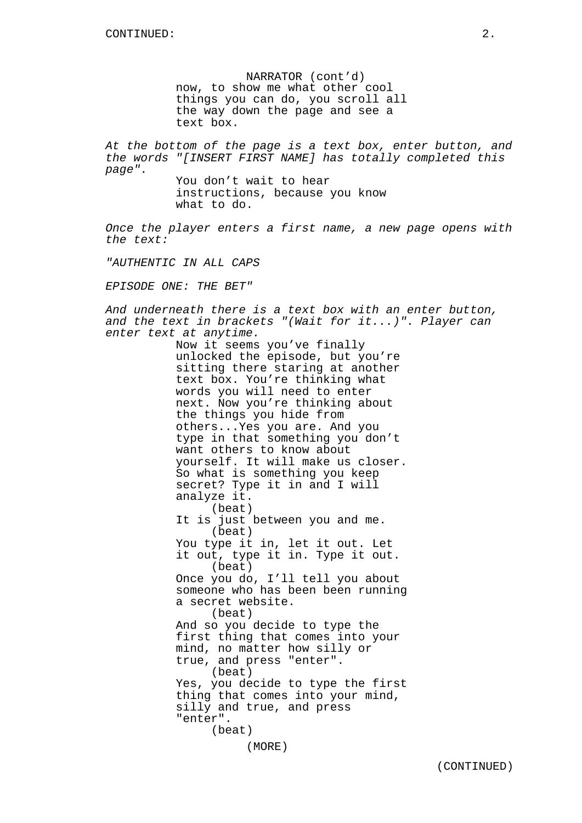NARRATOR (cont'd) now, to show me what other cool things you can do, you scroll all the way down the page and see a text box.

At the bottom of the page is a text box, enter button, and the words "[INSERT FIRST NAME] has totally completed this page".

You don't wait to hear instructions, because you know what to do.

Once the player enters a first name, a new page opens with the text:

"AUTHENTIC IN ALL CAPS

EPISODE ONE: THE BET"

And underneath there is a text box with an enter button, and the text in brackets "(Wait for it...)". Player can enter text at anytime.

> Now it seems you've finally unlocked the episode, but you're sitting there staring at another text box. You're thinking what words you will need to enter next. Now you're thinking about the things you hide from others...Yes you are. And you type in that something you don't want others to know about yourself. It will make us closer. So what is something you keep secret? Type it in and I will analyze it. (beat) It is just between you and me. (beat) You type it in, let it out. Let it out, type it in. Type it out. (beat) Once you do, I'll tell you about someone who has been been running a secret website. (beat) And so you decide to type the first thing that comes into your mind, no matter how silly or true, and press "enter". (beat) Yes, you decide to type the first thing that comes into your mind, silly and true, and press "enter". (beat) (MORE)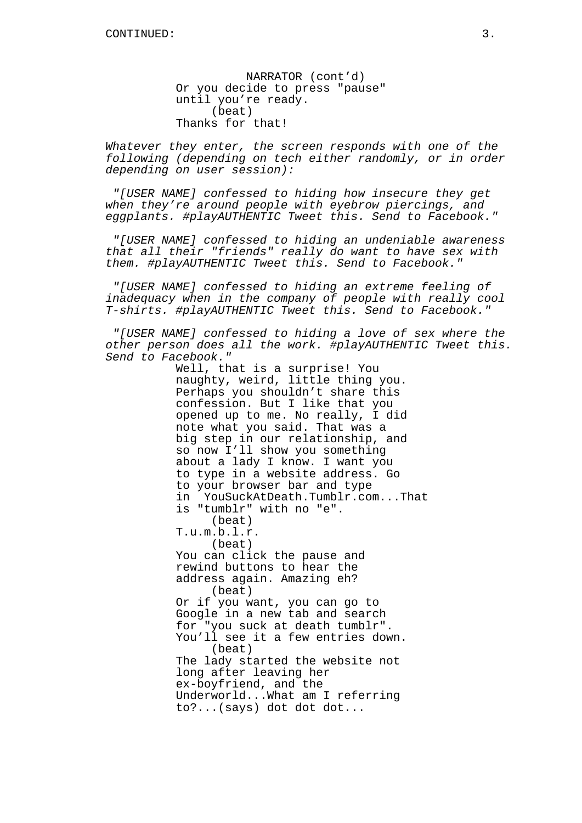NARRATOR (cont'd) Or you decide to press "pause" until you're ready. (beat) Thanks for that!

Whatever they enter, the screen responds with one of the following (depending on tech either randomly, or in order depending on user session):

"[USER NAME] confessed to hiding how insecure they get when they're around people with eyebrow piercings, and eggplants. #playAUTHENTIC Tweet this. Send to Facebook."

"[USER NAME] confessed to hiding an undeniable awareness that all their "friends" really do want to have sex with them. #playAUTHENTIC Tweet this. Send to Facebook."

"[USER NAME] confessed to hiding an extreme feeling of inadequacy when in the company of people with really cool T-shirts. #playAUTHENTIC Tweet this. Send to Facebook."

"[USER NAME] confessed to hiding a love of sex where the other person does all the work. #playAUTHENTIC Tweet this. Send to Facebook."

> Well, that is a surprise! You naughty, weird, little thing you. Perhaps you shouldn't share this confession. But I like that you opened up to me. No really, I did note what you said. That was a big step in our relationship, and so now I'll show you something about a lady I know. I want you to type in a website address. Go to your browser bar and type in YouSuckAtDeath.Tumblr.com...That is "tumblr" with no "e". (beat) T.u.m.b.l.r. (beat) You can click the pause and rewind buttons to hear the address again. Amazing eh? (beat) Or if you want, you can go to Google in a new tab and search for "you suck at death tumblr". You'll see it a few entries down. (beat) The lady started the website not long after leaving her ex-boyfriend, and the Underworld...What am I referring to?...(says) dot dot dot...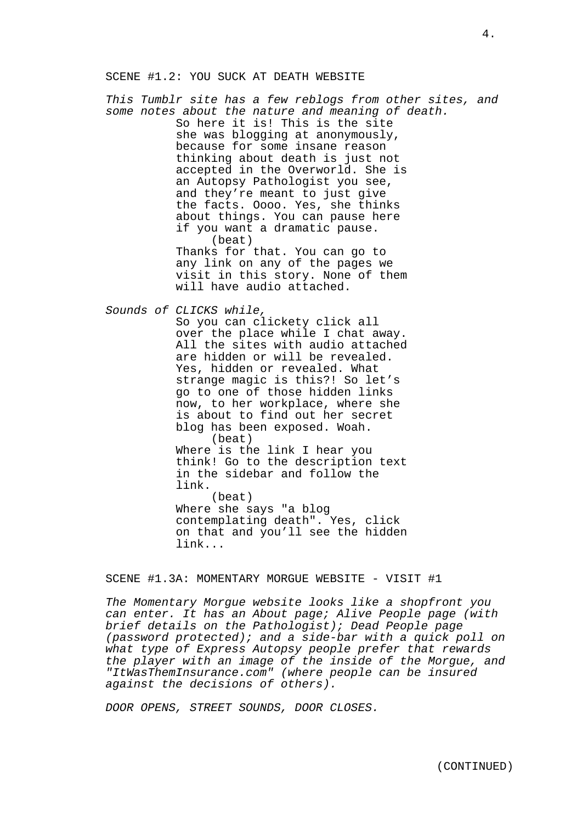### SCENE #1.2: YOU SUCK AT DEATH WEBSITE

This Tumblr site has a few reblogs from other sites, and some notes about the nature and meaning of death. So here it is! This is the site she was blogging at anonymously, because for some insane reason thinking about death is just not accepted in the Overworld. She is an Autopsy Pathologist you see, and they're meant to just give the facts. Oooo. Yes, she thinks about things. You can pause here if you want a dramatic pause. (beat) Thanks for that. You can go to any link on any of the pages we visit in this story. None of them will have audio attached. Sounds of CLICKS while, So you can clickety click all over the place while I chat away. All the sites with audio attached are hidden or will be revealed. Yes, hidden or revealed. What

strange magic is this?! So let's go to one of those hidden links now, to her workplace, where she is about to find out her secret blog has been exposed. Woah. (beat) Where is the link I hear you think! Go to the description text in the sidebar and follow the link.

(beat) Where she says "a blog contemplating death". Yes, click on that and you'll see the hidden link...

SCENE #1.3A: MOMENTARY MORGUE WEBSITE - VISIT #1

The Momentary Morgue website looks like a shopfront you can enter. It has an About page; Alive People page (with brief details on the Pathologist); Dead People page (password protected); and a side-bar with a quick poll on what type of Express Autopsy people prefer that rewards the player with an image of the inside of the Morgue, and "ItWasThemInsurance.com" (where people can be insured against the decisions of others).

DOOR OPENS, STREET SOUNDS, DOOR CLOSES.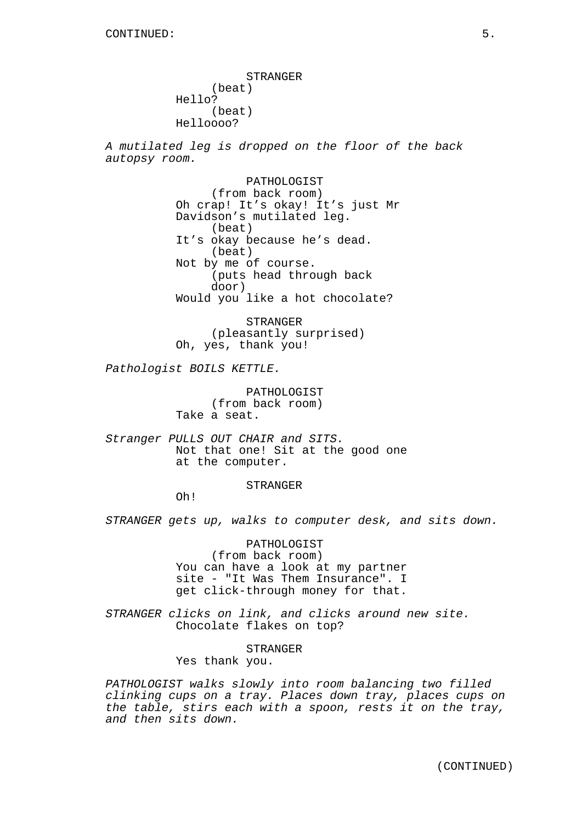STRANGER (beat) Hello? (beat) Helloooo?

A mutilated leg is dropped on the floor of the back autopsy room.

> PATHOLOGIST (from back room) Oh crap! It's okay! It's just Mr Davidson's mutilated leg. (beat) It's okay because he's dead. (beat) Not by me of course. (puts head through back door) Would you like a hot chocolate?

STRANGER (pleasantly surprised) Oh, yes, thank you!

Pathologist BOILS KETTLE.

PATHOLOGIST (from back room) Take a seat.

Stranger PULLS OUT CHAIR and SITS. Not that one! Sit at the good one at the computer.

**STRANGER** 

Oh!

STRANGER gets up, walks to computer desk, and sits down.

PATHOLOGIST (from back room) You can have a look at my partner site - "It Was Them Insurance". I get click-through money for that.

STRANGER clicks on link, and clicks around new site. Chocolate flakes on top?

STRANGER

Yes thank you.

PATHOLOGIST walks slowly into room balancing two filled clinking cups on a tray. Places down tray, places cups on the table, stirs each with a spoon, rests it on the tray, and then sits down.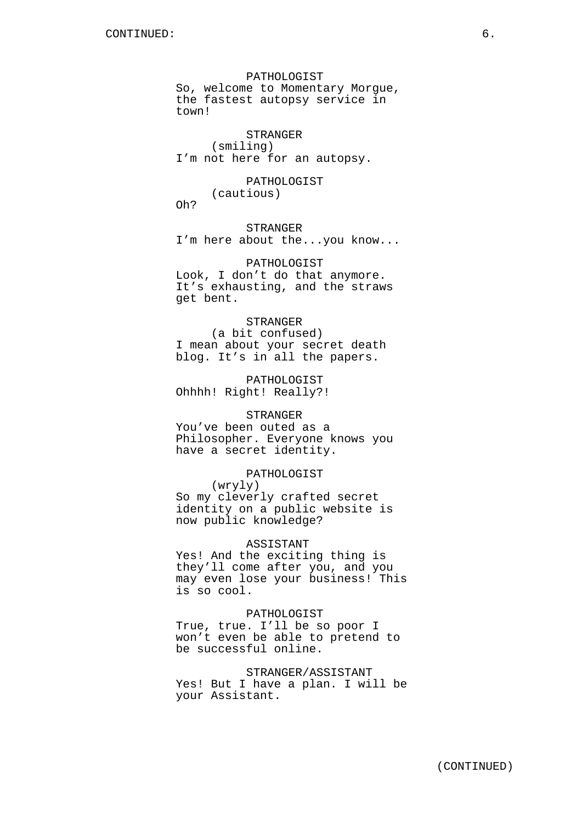PATHOLOGIST So, welcome to Momentary Morgue, the fastest autopsy service in town!

STRANGER (smiling) I'm not here for an autopsy.

PATHOLOGIST (cautious) Oh?

STRANGER I'm here about the...you know...

PATHOLOGIST Look, I don't do that anymore. It's exhausting, and the straws get bent.

### STRANGER

(a bit confused) I mean about your secret death blog. It's in all the papers.

PATHOLOGIST Ohhhh! Right! Really?!

# STRANGER

You've been outed as a Philosopher. Everyone knows you have a secret identity.

### PATHOLOGIST

(wryly) So my cleverly crafted secret identity on a public website is now public knowledge?

### ASSISTANT

Yes! And the exciting thing is they'll come after you, and you may even lose your business! This is so cool.

#### PATHOLOGIST

True, true. I'll be so poor I won't even be able to pretend to be successful online.

STRANGER/ASSISTANT

Yes! But I have a plan. I will be your Assistant.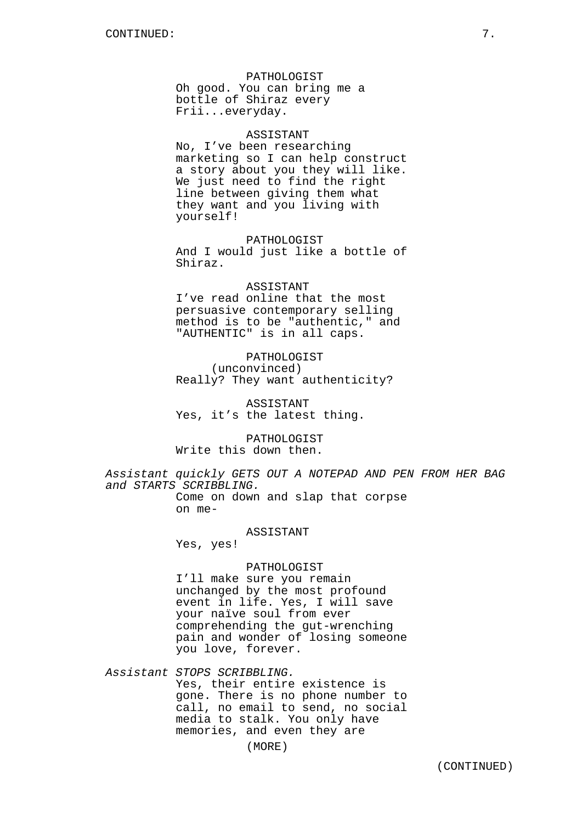#### PATHOLOGIST

Oh good. You can bring me a bottle of Shiraz every Frii...everyday.

# ASSISTANT

No, I've been researching marketing so I can help construct a story about you they will like. We just need to find the right line between giving them what they want and you living with yourself!

### PATHOLOGIST

And I would just like a bottle of Shiraz.

## ASSISTANT

I've read online that the most persuasive contemporary selling method is to be "authentic," and "AUTHENTIC" is in all caps.

# PATHOLOGIST (unconvinced) Really? They want authenticity?

ASSISTANT Yes, it's the latest thing.

PATHOLOGIST Write this down then.

Assistant quickly GETS OUT A NOTEPAD AND PEN FROM HER BAG and STARTS SCRIBBLING. Come on down and slap that corpse

on me-

#### ASSISTANT

Yes, yes!

# PATHOLOGIST

I'll make sure you remain unchanged by the most profound event in life. Yes, I will save your naïve soul from ever comprehending the gut-wrenching pain and wonder of losing someone you love, forever.

Assistant STOPS SCRIBBLING. Yes, their entire existence is gone. There is no phone number to call, no email to send, no social media to stalk. You only have memories, and even they are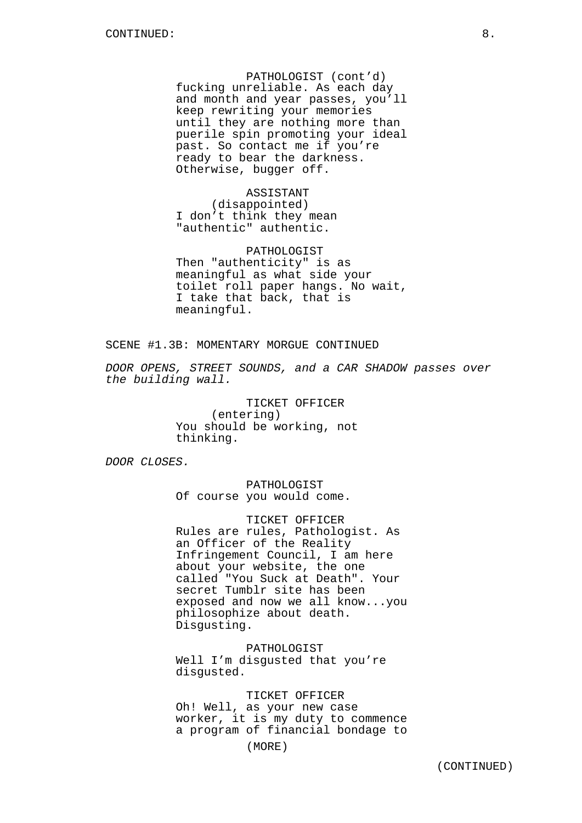PATHOLOGIST (cont'd) fucking unreliable. As each day and month and year passes, you'll keep rewriting your memories until they are nothing more than puerile spin promoting your ideal past. So contact me if you're ready to bear the darkness. Otherwise, bugger off.

ASSISTANT (disappointed) I don't think they mean "authentic" authentic.

PATHOLOGIST Then "authenticity" is as meaningful as what side your toilet roll paper hangs. No wait, I take that back, that is meaningful.

SCENE #1.3B: MOMENTARY MORGUE CONTINUED

DOOR OPENS, STREET SOUNDS, and a CAR SHADOW passes over the building wall.

> TICKET OFFICER (entering) You should be working, not thinking.

DOOR CLOSES.

PATHOLOGIST Of course you would come.

TICKET OFFICER Rules are rules, Pathologist. As an Officer of the Reality Infringement Council, I am here about your website, the one called "You Suck at Death". Your secret Tumblr site has been exposed and now we all know...you philosophize about death. Disgusting.

PATHOLOGIST Well I'm disqusted that you're disgusted.

TICKET OFFICER Oh! Well, as your new case worker, it is my duty to commence a program of financial bondage to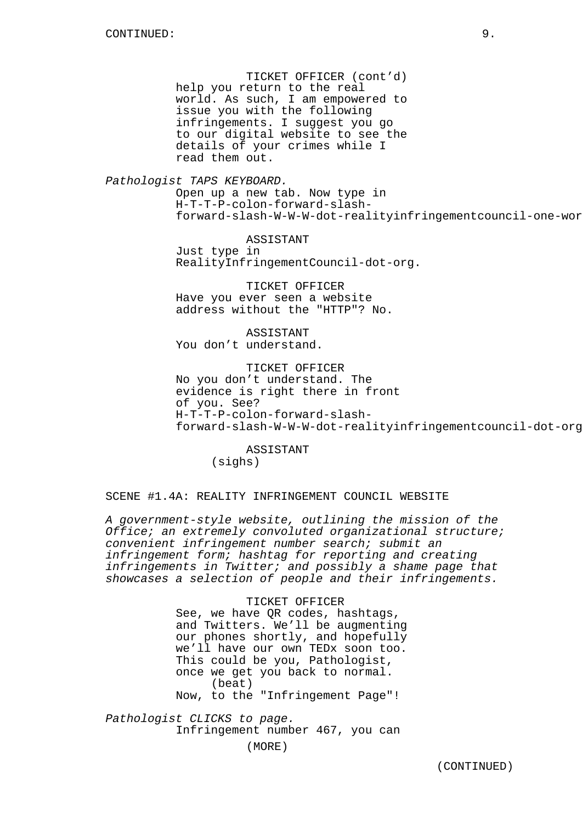TICKET OFFICER (cont'd) help you return to the real world. As such, I am empowered to issue you with the following infringements. I suggest you go to our digital website to see the details of your crimes while I read them out.

Pathologist TAPS KEYBOARD.

Open up a new tab. Now type in H-T-T-P-colon-forward-slashforward-slash-W-W-W-dot-realityinfringementcouncil-one-wor

ASSISTANT Just type in RealityInfringementCouncil-dot-org.

TICKET OFFICER Have you ever seen a website address without the "HTTP"? No.

**ASSISTANT** You don't understand.

TICKET OFFICER No you don't understand. The evidence is right there in front of you. See? H-T-T-P-colon-forward-slashforward-slash-W-W-W-dot-realityinfringementcouncil-dot-org.

ASSISTANT (sighs)

SCENE #1.4A: REALITY INFRINGEMENT COUNCIL WEBSITE

A government-style website, outlining the mission of the Office; an extremely convoluted organizational structure; convenient infringement number search; submit an infringement form; hashtag for reporting and creating infringements in Twitter; and possibly a shame page that showcases a selection of people and their infringements.

> TICKET OFFICER See, we have QR codes, hashtags, and Twitters. We'll be augmenting our phones shortly, and hopefully we'll have our own TEDx soon too. This could be you, Pathologist, once we get you back to normal. (beat) Now, to the "Infringement Page"!

Pathologist CLICKS to page. Infringement number 467, you can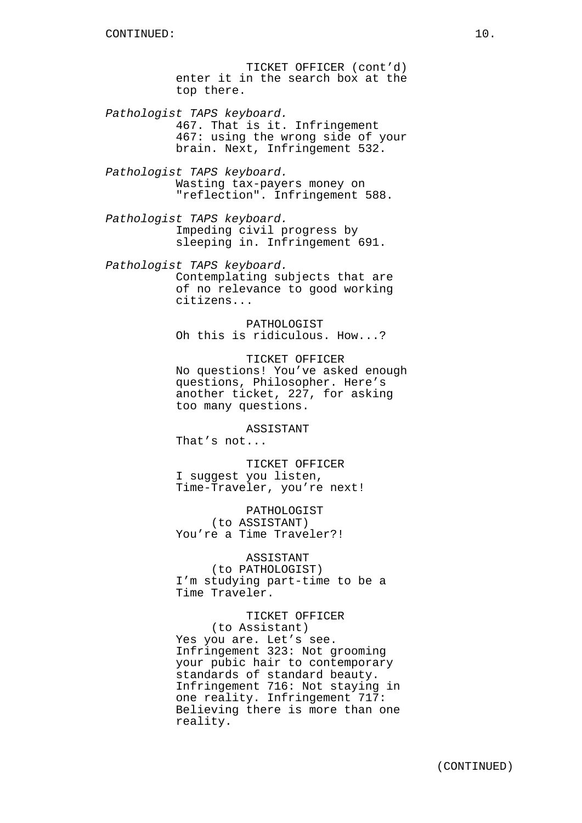TICKET OFFICER (cont'd) enter it in the search box at the top there.

Pathologist TAPS keyboard. 467. That is it. Infringement 467: using the wrong side of your brain. Next, Infringement 532.

Pathologist TAPS keyboard. Wasting tax-payers money on "reflection". Infringement 588.

Pathologist TAPS keyboard. Impeding civil progress by sleeping in. Infringement 691.

Pathologist TAPS keyboard. Contemplating subjects that are of no relevance to good working citizens...

> PATHOLOGIST Oh this is ridiculous. How...?

TICKET OFFICER No questions! You've asked enough questions, Philosopher. Here's another ticket, 227, for asking too many questions.

ASSISTANT

That's not...

TICKET OFFICER I suggest you listen, Time-Traveler, you're next!

PATHOLOGIST (to ASSISTANT) You're a Time Traveler?!

ASSISTANT (to PATHOLOGIST) I'm studying part-time to be a Time Traveler.

TICKET OFFICER (to Assistant) Yes you are. Let's see. Infringement 323: Not grooming your pubic hair to contemporary standards of standard beauty. Infringement 716: Not staying in one reality. Infringement 717: Believing there is more than one reality.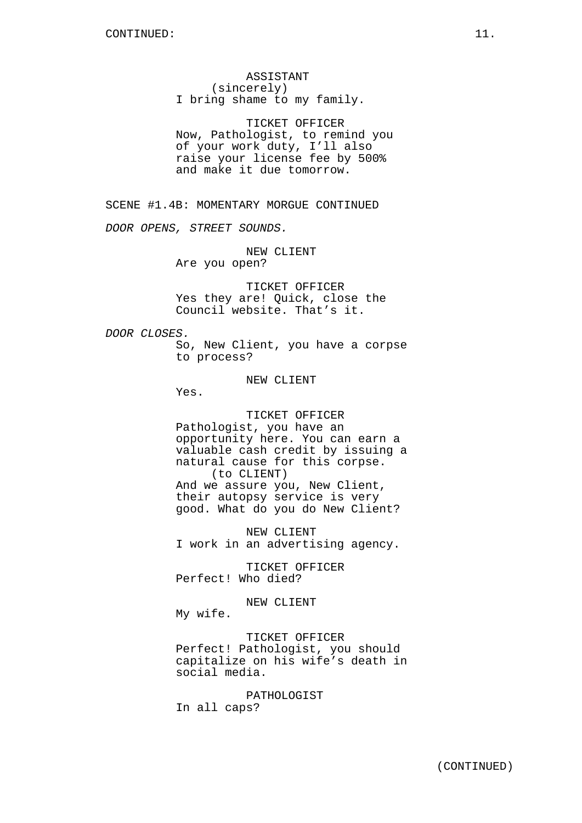ASSISTANT (sincerely) I bring shame to my family.

TICKET OFFICER Now, Pathologist, to remind you of your work duty, I'll also raise your license fee by 500% and make it due tomorrow.

SCENE #1.4B: MOMENTARY MORGUE CONTINUED

DOOR OPENS, STREET SOUNDS.

NEW CLIENT Are you open?

TICKET OFFICER Yes they are! Quick, close the Council website. That's it.

DOOR CLOSES.

So, New Client, you have a corpse to process?

NEW CLIENT

Yes.

TICKET OFFICER Pathologist, you have an opportunity here. You can earn a valuable cash credit by issuing a natural cause for this corpse. (to CLIENT) And we assure you, New Client, their autopsy service is very good. What do you do New Client?

NEW CLIENT I work in an advertising agency.

TICKET OFFICER Perfect! Who died?

NEW CLIENT

My wife.

TICKET OFFICER Perfect! Pathologist, you should capitalize on his wife's death in social media.

PATHOLOGIST In all caps?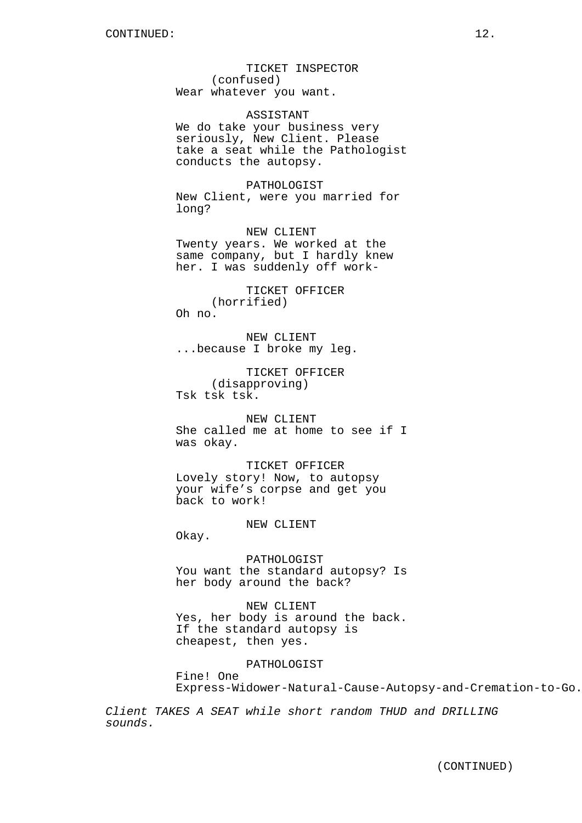TICKET INSPECTOR (confused) Wear whatever you want.

ASSISTANT We do take your business very seriously, New Client. Please take a seat while the Pathologist conducts the autopsy.

PATHOLOGIST New Client, were you married for long?

NEW CLIENT Twenty years. We worked at the same company, but I hardly knew her. I was suddenly off work-

TICKET OFFICER (horrified) Oh no.

NEW CLIENT ...because I broke my leg.

TICKET OFFICER (disapproving) Tsk tsk tsk.

NEW CLIENT She called me at home to see if I was okay.

TICKET OFFICER Lovely story! Now, to autopsy your wife's corpse and get you back to work!

#### NEW CLIENT

Okay.

PATHOLOGIST You want the standard autopsy? Is her body around the back?

NEW CLIENT Yes, her body is around the back. If the standard autopsy is cheapest, then yes.

PATHOLOGIST

Fine! One Express-Widower-Natural-Cause-Autopsy-and-Cremation-to-Go.

Client TAKES A SEAT while short random THUD and DRILLING sounds.

(CONTINUED)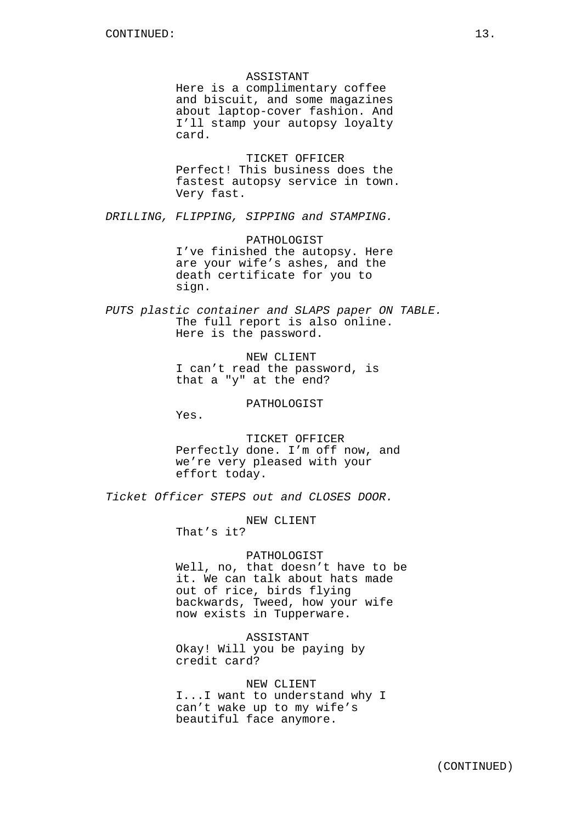#### ASSISTANT

Here is a complimentary coffee and biscuit, and some magazines about laptop-cover fashion. And I'll stamp your autopsy loyalty card.

TICKET OFFICER Perfect! This business does the fastest autopsy service in town. Very fast.

DRILLING, FLIPPING, SIPPING and STAMPING.

PATHOLOGIST I've finished the autopsy. Here are your wife's ashes, and the death certificate for you to sign.

PUTS plastic container and SLAPS paper ON TABLE. The full report is also online. Here is the password.

> NEW CLIENT I can't read the password, is that a "y" at the end?

# PATHOLOGIST

Yes.

TICKET OFFICER Perfectly done. I'm off now, and we're very pleased with your effort today.

Ticket Officer STEPS out and CLOSES DOOR.

NEW CLIENT That's it?

# PATHOLOGIST

Well, no, that doesn't have to be it. We can talk about hats made out of rice, birds flying backwards, Tweed, how your wife now exists in Tupperware.

ASSISTANT Okay! Will you be paying by credit card?

# NEW CLIENT

I...I want to understand why I can't wake up to my wife's beautiful face anymore.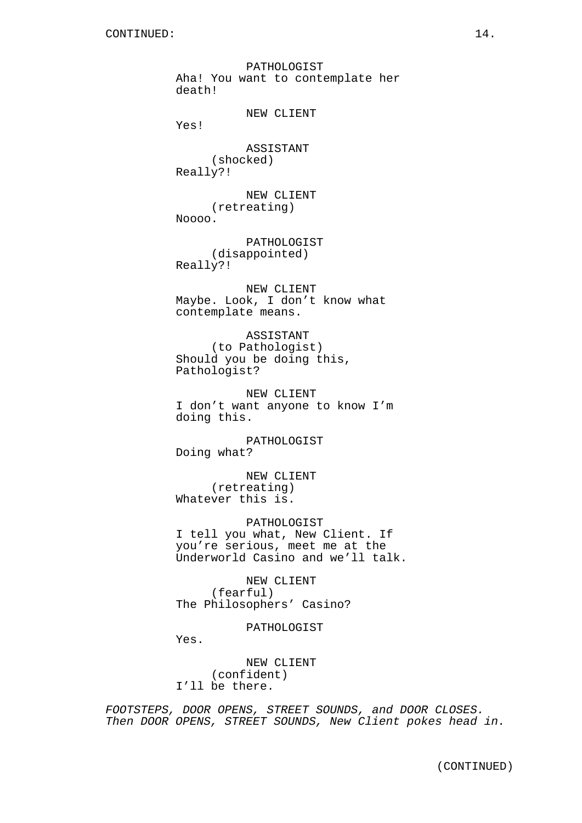PATHOLOGIST Aha! You want to contemplate her death! NEW CLIENT Yes! ASSISTANT (shocked) Really?! NEW CLIENT (retreating) Noooo. PATHOLOGIST (disappointed) Really?! NEW CLIENT Maybe. Look, I don't know what contemplate means. ASSISTANT (to Pathologist) Should you be doing this, Pathologist? NEW CLIENT I don't want anyone to know I'm doing this. PATHOLOGIST Doing what? NEW CLIENT (retreating) Whatever this is. PATHOLOGIST I tell you what, New Client. If you're serious, meet me at the Underworld Casino and we'll talk. NEW CLIENT (fearful) The Philosophers' Casino? PATHOLOGIST

Yes.

NEW CLIENT (confident) I'll be there.

FOOTSTEPS, DOOR OPENS, STREET SOUNDS, and DOOR CLOSES. Then DOOR OPENS, STREET SOUNDS, New Client pokes head in.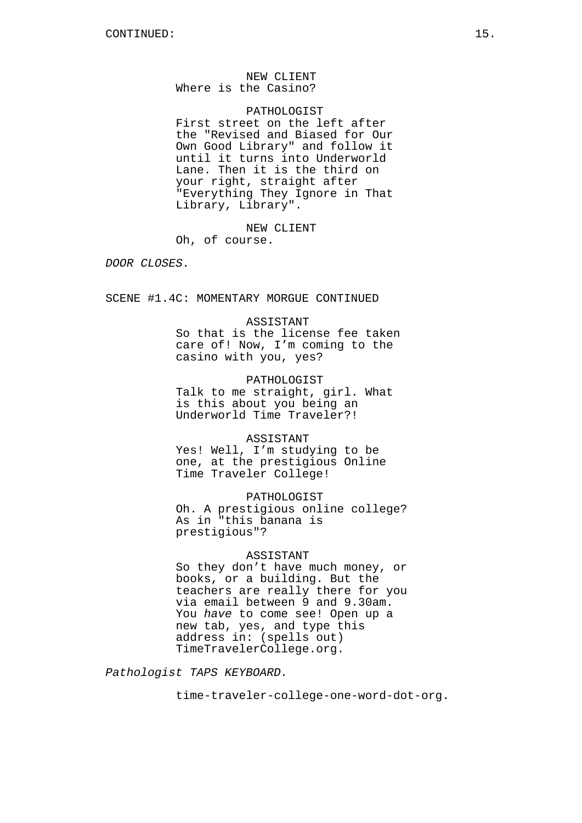# NEW CLIENT Where is the Casino?

PATHOLOGIST First street on the left after the "Revised and Biased for Our Own Good Library" and follow it until it turns into Underworld Lane. Then it is the third on your right, straight after "Everything They Ignore in That Library, Library".

NEW CLIENT

Oh, of course.

DOOR CLOSES.

SCENE #1.4C: MOMENTARY MORGUE CONTINUED

#### ASSISTANT

So that is the license fee taken care of! Now, I'm coming to the casino with you, yes?

PATHOLOGIST Talk to me straight, girl. What is this about you being an Underworld Time Traveler?!

# ASSISTANT

Yes! Well, I'm studying to be one, at the prestigious Online Time Traveler College!

PATHOLOGIST

Oh. A prestigious online college? As in "this banana is prestigious"?

# ASSISTANT

So they don't have much money, or books, or a building. But the teachers are really there for you via email between 9 and 9.30am. You have to come see! Open up a new tab, yes, and type this address in: (spells out) TimeTravelerCollege.org.

Pathologist TAPS KEYBOARD.

time-traveler-college-one-word-dot-org.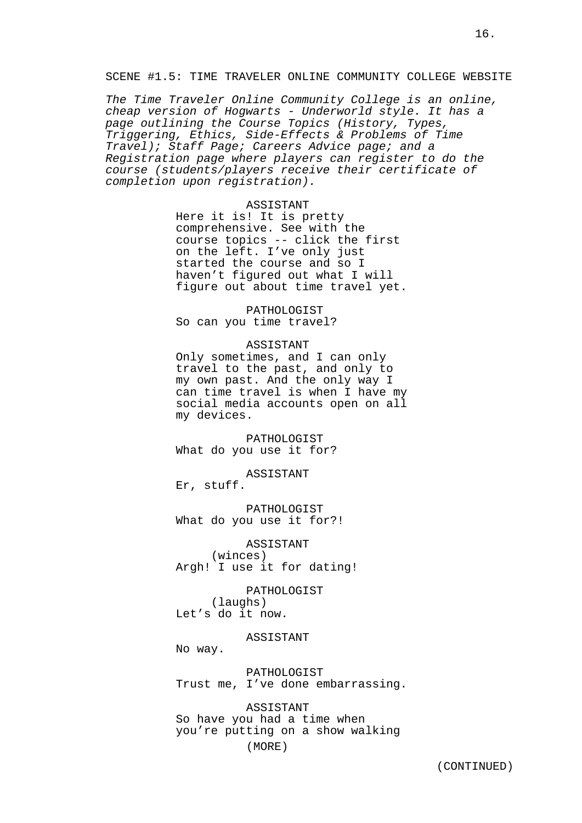The Time Traveler Online Community College is an online, cheap version of Hogwarts - Underworld style. It has a page outlining the Course Topics (History, Types, Triggering, Ethics, Side-Effects & Problems of Time Travel); Staff Page; Careers Advice page; and a Registration page where players can register to do the course (students/players receive their certificate of completion upon registration).

#### ASSISTANT

Here it is! It is pretty comprehensive. See with the course topics -- click the first on the left. I've only just started the course and so I haven't figured out what I will figure out about time travel yet.

PATHOLOGIST So can you time travel?

#### ASSISTANT

Only sometimes, and I can only travel to the past, and only to my own past. And the only way I can time travel is when I have my social media accounts open on all my devices.

PATHOLOGIST What do you use it for?

ASSISTANT

Er, stuff.

PATHOLOGIST What do you use it for?!

ASSISTANT (winces) Argh! I use it for dating!

PATHOLOGIST (laughs) Let's do it now.

## ASSISTANT

No way.

PATHOLOGIST Trust me, I've done embarrassing.

ASSISTANT So have you had a time when you're putting on a show walking

(MORE)

16.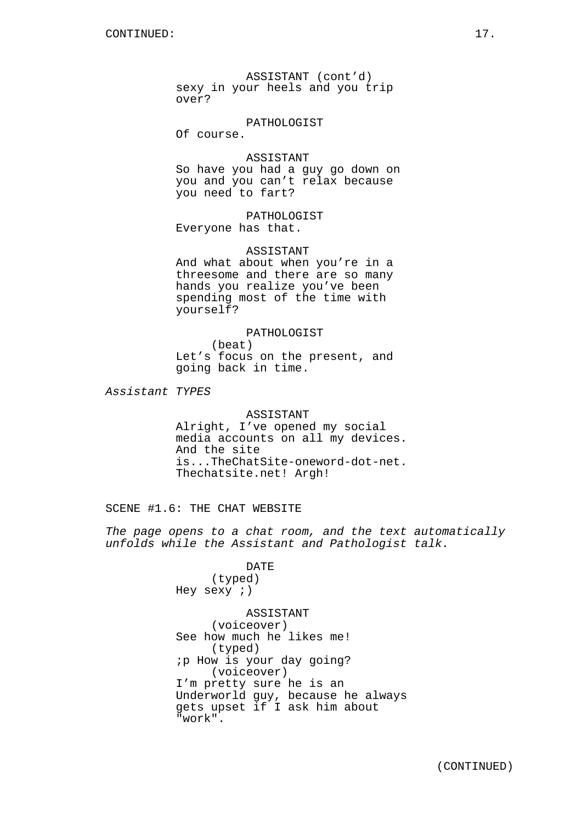ASSISTANT (cont'd) sexy in your heels and you trip over?

## PATHOLOGIST

Of course.

# ASSISTANT

So have you had a guy go down on you and you can't relax because you need to fart?

PATHOLOGIST Everyone has that.

ASSISTANT

And what about when you're in a threesome and there are so many hands you realize you've been spending most of the time with yourself?

PATHOLOGIST (beat) Let's focus on the present, and going back in time.

Assistant TYPES

# ASSISTANT

Alright, I've opened my social media accounts on all my devices. And the site is...TheChatSite-oneword-dot-net. Thechatsite.net! Argh!

SCENE #1.6: THE CHAT WEBSITE

The page opens to a chat room, and the text automatically unfolds while the Assistant and Pathologist talk.

> DATE (typed) Hey sexy ;)

ASSISTANT (voiceover) See how much he likes me! (typed) ;p How is your day going? (voiceover) I'm pretty sure he is an Underworld guy, because he always gets upset if I ask him about "work".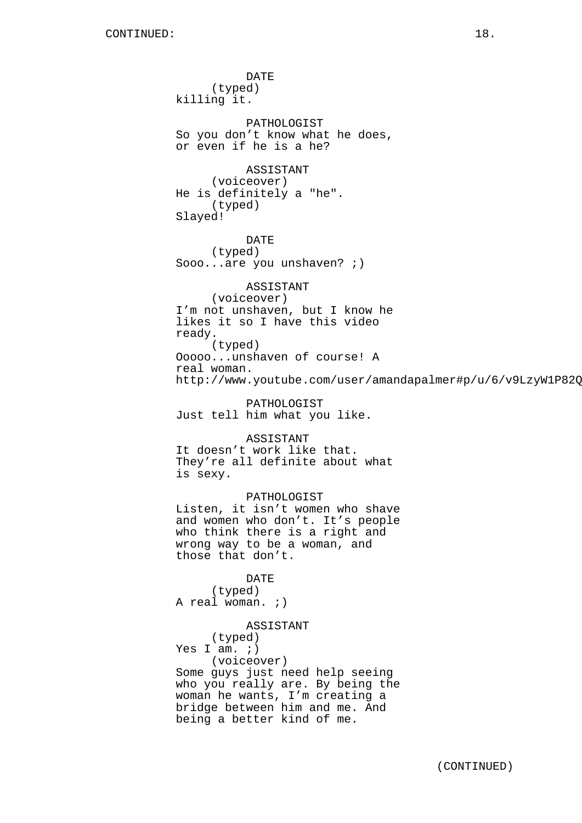DATE (typed) killing it. PATHOLOGIST So you don't know what he does, or even if he is a he? ASSISTANT (voiceover) He is definitely a "he". (typed) Slayed! DATE (typed) Sooo...are you unshaven? ;) ASSISTANT (voiceover) I'm not unshaven, but I know he likes it so I have this video ready. (typed) Ooooo...unshaven of course! A real woman. http://www.youtube.com/user/amandapalmer#p/u/6/v9LzyW1P82Q PATHOLOGIST Just tell him what you like. ASSISTANT It doesn't work like that. They're all definite about what is sexy. PATHOLOGIST Listen, it isn't women who shave and women who don't. It's people who think there is a right and wrong way to be a woman, and those that don't. DATE (typed) A real woman. *;*) ASSISTANT (typed) Yes I am.  $i)$ (voiceover) Some guys just need help seeing who you really are. By being the

woman he wants, I'm creating a bridge between him and me. And being a better kind of me.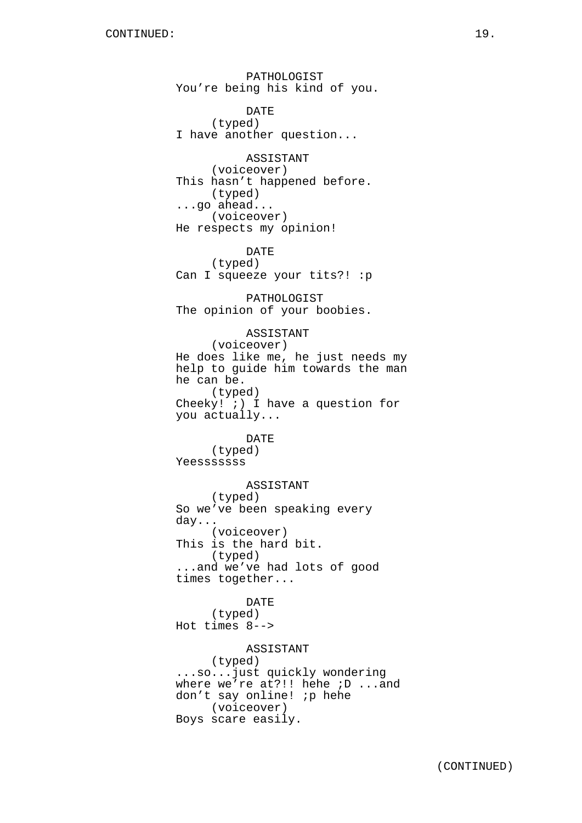PATHOLOGIST You're being his kind of you. DATE (typed) I have another question... ASSISTANT (voiceover) This hasn't happened before. (typed) ...go ahead... (voiceover) He respects my opinion! DATE (typed) Can I squeeze your tits?! :p PATHOLOGIST The opinion of your boobies. ASSISTANT (voiceover) He does like me, he just needs my help to guide him towards the man he can be. (typed) Cheeky! ;) I have a question for you actually... DATE (typed) Yeesssssss ASSISTANT (typed) So we've been speaking every day... (voiceover) This is the hard bit. (typed) ...and we've had lots of good times together... DATE (typed) Hot times 8--> ASSISTANT (typed) ...so...just quickly wondering where we're at?!! hehe *i*D ...and don't say online! *ip* hehe (voiceover) Boys scare easily.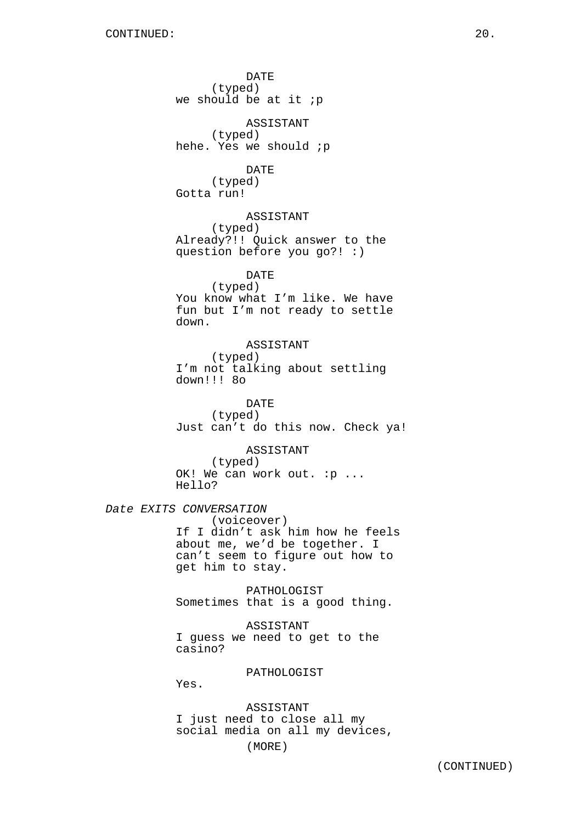DATE (typed) we should be at it  $ip$ ASSISTANT (typed) hehe. Yes we should *ip* DATE (typed) Gotta run! ASSISTANT (typed) Already?!! Quick answer to the question before you go?! :) DATE (typed) You know what I'm like. We have fun but I'm not ready to settle down. ASSISTANT (typed) I'm not talking about settling down!!! 8o DATE (typed) Just can't do this now. Check ya! ASSISTANT (typed) OK! We can work out. : p ... Hello? Date EXITS CONVERSATION (voiceover) If I didn't ask him how he feels about me, we'd be together. I can't seem to figure out how to get him to stay. PATHOLOGIST Sometimes that is a good thing. ASSISTANT I guess we need to get to the casino? PATHOLOGIST Yes. ASSISTANT I just need to close all my social media on all my devices,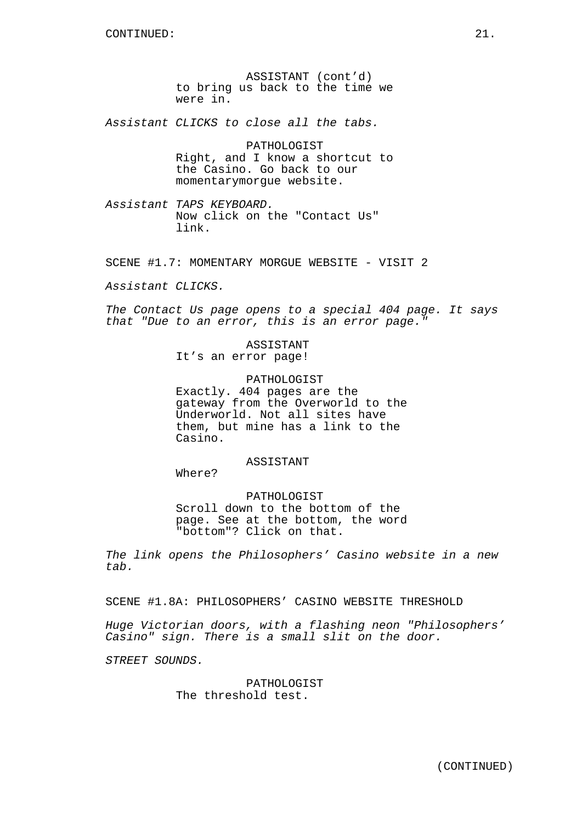ASSISTANT (cont'd) to bring us back to the time we were in.

Assistant CLICKS to close all the tabs.

PATHOLOGIST Right, and I know a shortcut to the Casino. Go back to our momentarymorgue website.

Assistant TAPS KEYBOARD. Now click on the "Contact Us" link.

SCENE #1.7: MOMENTARY MORGUE WEBSITE - VISIT 2

Assistant CLICKS.

The Contact Us page opens to a special 404 page. It says that "Due to an error, this is an error page."

# ASSISTANT

It's an error page!

# PATHOLOGIST

Exactly. 404 pages are the gateway from the Overworld to the Underworld. Not all sites have them, but mine has a link to the Casino.

# ASSISTANT

Where?

# PATHOLOGIST Scroll down to the bottom of the page. See at the bottom, the word "bottom"? Click on that.

The link opens the Philosophers' Casino website in a new tab.

SCENE #1.8A: PHILOSOPHERS' CASINO WEBSITE THRESHOLD

Huge Victorian doors, with a flashing neon "Philosophers' Casino" sign. There is a small slit on the door.

STREET SOUNDS.

PATHOLOGIST The threshold test.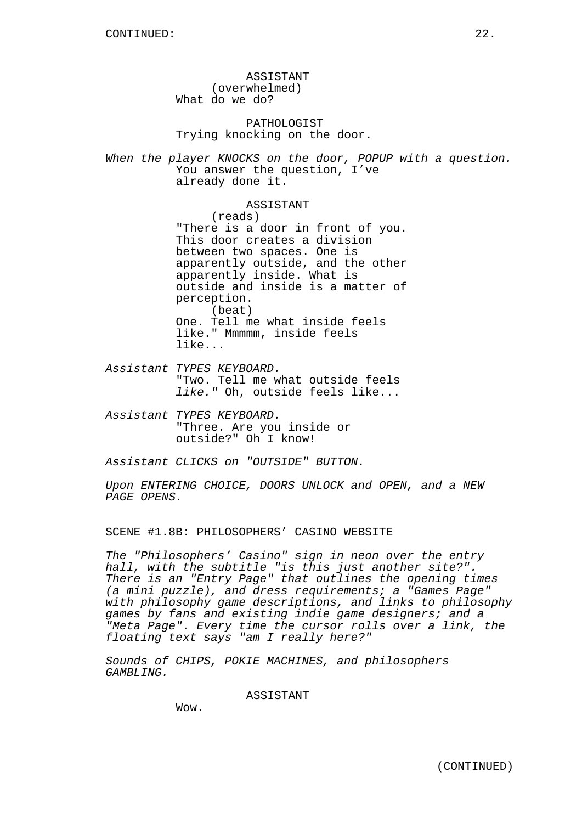ASSISTANT (overwhelmed) What do we do?

PATHOLOGIST Trying knocking on the door.

When the player KNOCKS on the door, POPUP with a question. You answer the question, I've already done it.

> ASSISTANT (reads) "There is a door in front of you. This door creates a division between two spaces. One is apparently outside, and the other apparently inside. What is outside and inside is a matter of perception. (beat) One. Tell me what inside feels like." Mmmmm, inside feels like...

Assistant TYPES KEYBOARD. "Two. Tell me what outside feels like." Oh, outside feels like...

Assistant TYPES KEYBOARD. "Three. Are you inside or outside?" Oh I know!

Assistant CLICKS on "OUTSIDE" BUTTON.

Upon ENTERING CHOICE, DOORS UNLOCK and OPEN, and a NEW PAGE OPENS.

SCENE #1.8B: PHILOSOPHERS' CASINO WEBSITE

The "Philosophers' Casino" sign in neon over the entry hall, with the subtitle "is this just another site?". There is an "Entry Page" that outlines the opening times (a mini puzzle), and dress requirements; a "Games Page" with philosophy game descriptions, and links to philosophy games by fans and existing indie game designers; and a "Meta Page". Every time the cursor rolls over a link, the floating text says "am I really here?"

Sounds of CHIPS, POKIE MACHINES, and philosophers GAMBLING.

ASSISTANT

Wow.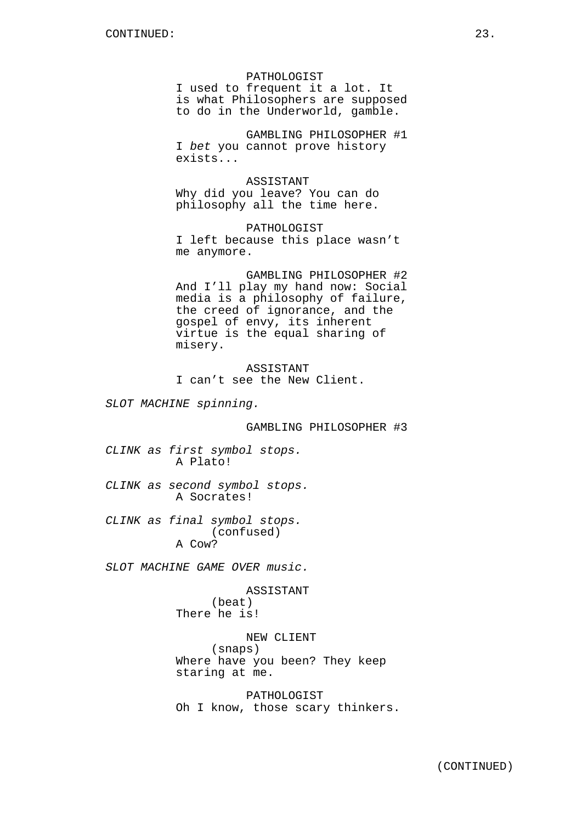#### PATHOLOGIST

I used to frequent it a lot. It is what Philosophers are supposed to do in the Underworld, gamble.

GAMBLING PHILOSOPHER #1 I bet you cannot prove history exists...

ASSISTANT Why did you leave? You can do philosophy all the time here.

PATHOLOGIST I left because this place wasn't me anymore.

GAMBLING PHILOSOPHER #2 And I'll play my hand now: Social media is a philosophy of failure, the creed of ignorance, and the gospel of envy, its inherent virtue is the equal sharing of misery.

ASSISTANT I can't see the New Client.

SLOT MACHINE spinning.

GAMBLING PHILOSOPHER #3

CLINK as first symbol stops. A Plato!

CLINK as second symbol stops. A Socrates!

CLINK as final symbol stops. (confused) A Cow?

SLOT MACHINE GAME OVER music.

ASSISTANT (beat) There he is!

NEW CLIENT

(snaps)

Where have you been? They keep staring at me.

PATHOLOGIST Oh I know, those scary thinkers.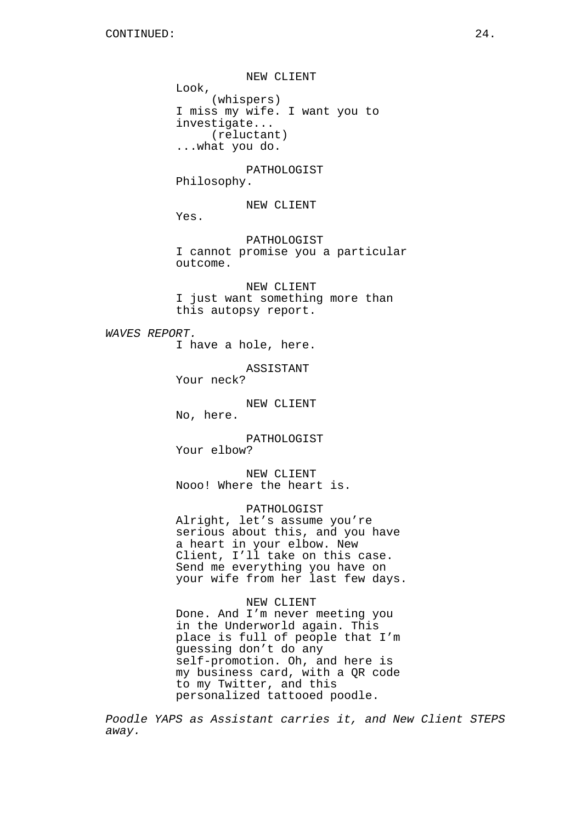NEW CLIENT Look, (whispers) I miss my wife. I want you to investigate... (reluctant) ...what you do. PATHOLOGIST Philosophy. NEW CLIENT Yes. PATHOLOGIST I cannot promise you a particular outcome. NEW CLIENT I just want something more than this autopsy report. WAVES REPORT. I have a hole, here. ASSISTANT Your neck? NEW CLIENT No, here. PATHOLOGIST Your elbow? NEW CLIENT Nooo! Where the heart is. PATHOLOGIST Alright, let's assume you're serious about this, and you have a heart in your elbow. New Client, I'll take on this case. Send me everything you have on your wife from her last few days. NEW CLIENT Done. And I'm never meeting you in the Underworld again. This place is full of people that I'm guessing don't do any self-promotion. Oh, and here is

Poodle YAPS as Assistant carries it, and New Client STEPS away.

my business card, with a QR code

personalized tattooed poodle.

to my Twitter, and this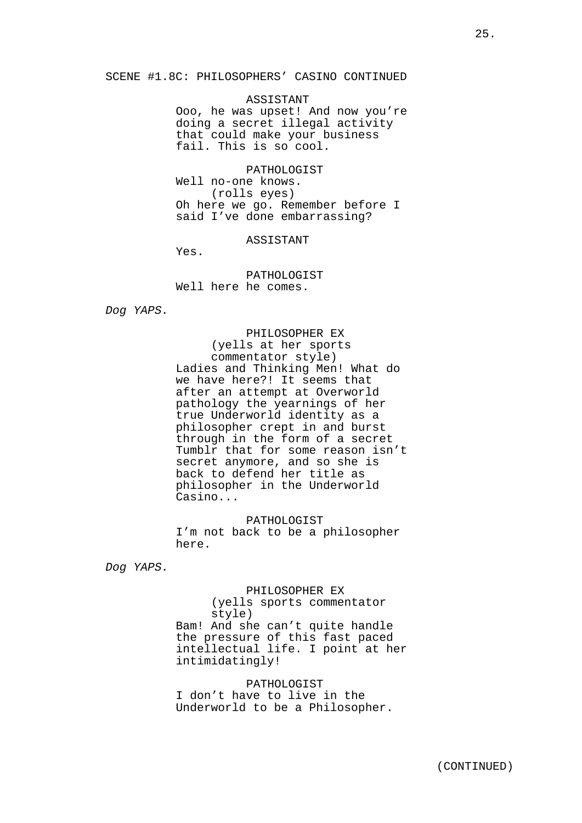#### SCENE #1.8C: PHILOSOPHERS' CASINO CONTINUED

# ASSISTANT

Ooo, he was upset! And now you're doing a secret illegal activity that could make your business fail. This is so cool.

PATHOLOGIST Well no-one knows. (rolls eyes) Oh here we go. Remember before I said I've done embarrassing?

ASSISTANT

Yes.

PATHOLOGIST Well here he comes.

Dog YAPS.

PHILOSOPHER EX (yells at her sports commentator style) Ladies and Thinking Men! What do we have here?! It seems that after an attempt at Overworld pathology the yearnings of her true Underworld identity as a philosopher crept in and burst through in the form of a secret Tumblr that for some reason isn't secret anymore, and so she is back to defend her title as philosopher in the Underworld Casino...

PATHOLOGIST I'm not back to be a philosopher here.

Dog YAPS.

PHILOSOPHER EX

(yells sports commentator style) Bam! And she can't quite handle the pressure of this fast paced intellectual life. I point at her intimidatingly!

PATHOLOGIST I don't have to live in the Underworld to be a Philosopher.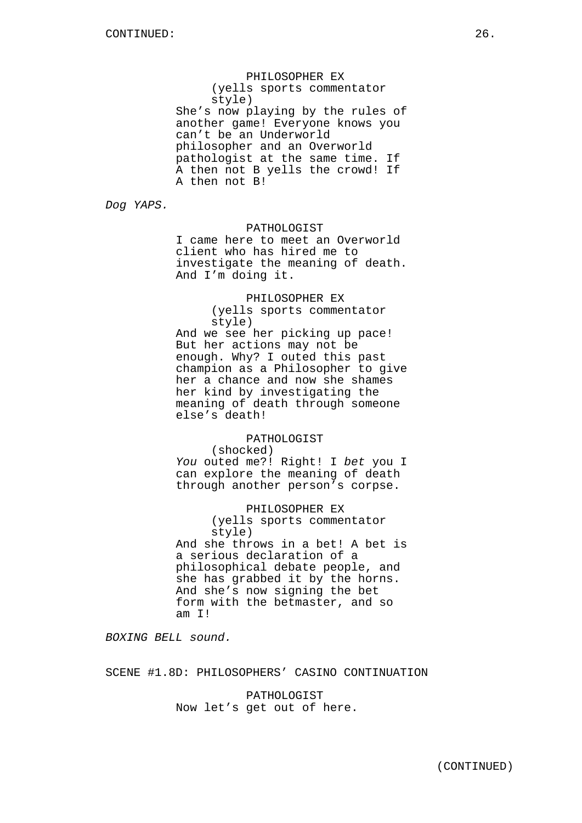PHILOSOPHER EX (yells sports commentator style) She's now playing by the rules of another game! Everyone knows you can't be an Underworld philosopher and an Overworld pathologist at the same time. If A then not B yells the crowd! If A then not B!

Dog YAPS.

PATHOLOGIST

I came here to meet an Overworld client who has hired me to investigate the meaning of death. And I'm doing it.

# PHILOSOPHER EX

(yells sports commentator style)

And we see her picking up pace! But her actions may not be enough. Why? I outed this past champion as a Philosopher to give her a chance and now she shames her kind by investigating the meaning of death through someone else's death!

# PATHOLOGIST

(shocked)

You outed me?! Right! I bet you I can explore the meaning of death through another person's corpse.

PHILOSOPHER EX (yells sports commentator style) And she throws in a bet! A bet is a serious declaration of a philosophical debate people, and she has grabbed it by the horns. And she's now signing the bet form with the betmaster, and so am I!

BOXING BELL sound.

SCENE #1.8D: PHILOSOPHERS' CASINO CONTINUATION

PATHOLOGIST Now let's get out of here.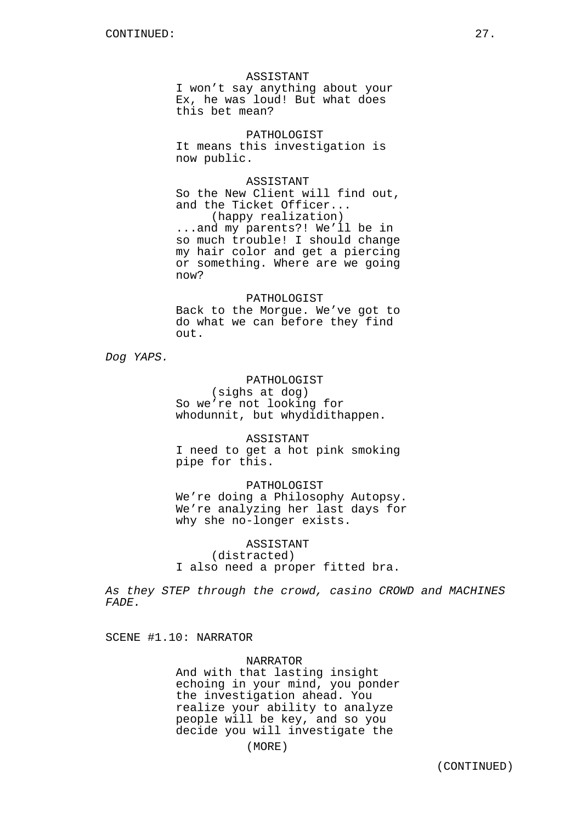### ASSISTANT

I won't say anything about your Ex, he was loud! But what does this bet mean?

PATHOLOGIST It means this investigation is now public.

ASSISTANT

So the New Client will find out, and the Ticket Officer... (happy realization)

...and my parents?! We'll be in so much trouble! I should change my hair color and get a piercing or something. Where are we going now?

# PATHOLOGIST

Back to the Morgue. We've got to do what we can before they find out.

Dog YAPS.

PATHOLOGIST (sighs at dog) So we're not looking for whodunnit, but whydidithappen.

ASSISTANT I need to get a hot pink smoking pipe for this.

PATHOLOGIST We're doing a Philosophy Autopsy. We're analyzing her last days for why she no-longer exists.

ASSISTANT (distracted) I also need a proper fitted bra.

As they STEP through the crowd, casino CROWD and MACHINES FADE.

SCENE #1.10: NARRATOR

### NARRATOR

And with that lasting insight echoing in your mind, you ponder the investigation ahead. You realize your ability to analyze people will be key, and so you decide you will investigate the

(MORE)

(CONTINUED)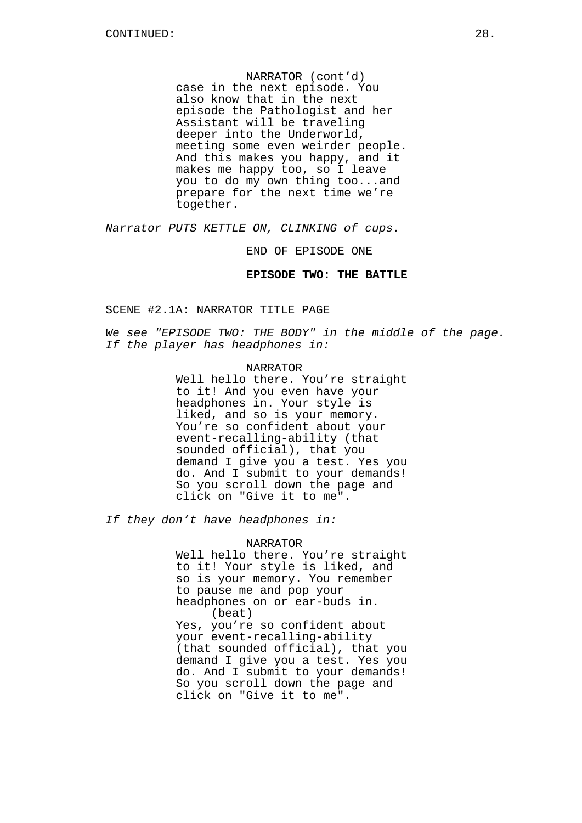NARRATOR (cont'd) case in the next episode. You also know that in the next episode the Pathologist and her Assistant will be traveling deeper into the Underworld, meeting some even weirder people. And this makes you happy, and it makes me happy too, so I leave you to do my own thing too...and prepare for the next time we're together.

Narrator PUTS KETTLE ON, CLINKING of cups.

END OF EPISODE ONE

**EPISODE TWO: THE BATTLE**

SCENE #2.1A: NARRATOR TITLE PAGE

We see "EPISODE TWO: THE BODY" in the middle of the page. If the player has headphones in:

# NARRATOR

Well hello there. You're straight to it! And you even have your headphones in. Your style is liked, and so is your memory. You're so confident about your event-recalling-ability (that sounded official), that you demand I give you a test. Yes you do. And I submit to your demands! So you scroll down the page and click on "Give it to me".

If they don't have headphones in:

### NARRATOR

Well hello there. You're straight to it! Your style is liked, and so is your memory. You remember to pause me and pop your headphones on or ear-buds in. (beat) Yes, you're so confident about your event-recalling-ability (that sounded official), that you demand I give you a test. Yes you do. And I submit to your demands! So you scroll down the page and click on "Give it to me".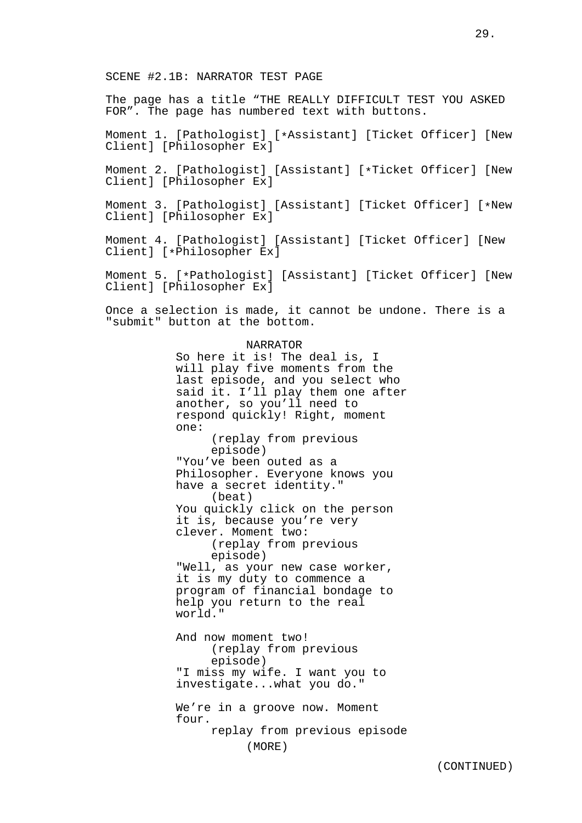The page has a title "THE REALLY DIFFICULT TEST YOU ASKED FOR". The page has numbered text with buttons.

Moment 1. [Pathologist] [\*Assistant] [Ticket Officer] [New Client] [Philosopher Ex]

Moment 2. [Pathologist] [Assistant] [\*Ticket Officer] [New Client] [Philosopher Ex]

Moment 3. [Pathologist] [Assistant] [Ticket Officer] [\*New Client] [Philosopher Ex]

Moment 4. [Pathologist] [Assistant] [Ticket Officer] [New Client] [\*Philosopher Ex]

Moment 5. [\*Pathologist] [Assistant] [Ticket Officer] [New Client] [Philosopher Ex]

Once a selection is made, it cannot be undone. There is a "submit" button at the bottom.

#### NARRATOR

So here it is! The deal is, I will play five moments from the last episode, and you select who said it. I'll play them one after another, so you'll need to respond quickly! Right, moment one: (replay from previous episode) "You've been outed as a Philosopher. Everyone knows you have a secret identity." (beat) You quickly click on the person it is, because you're very clever. Moment two: (replay from previous episode) "Well, as your new case worker, it is my duty to commence a program of financial bondage to help you return to the real world." And now moment two! (replay from previous episode) "I miss my wife. I want you to investigate...what you do." We're in a groove now. Moment four. replay from previous episode (MORE)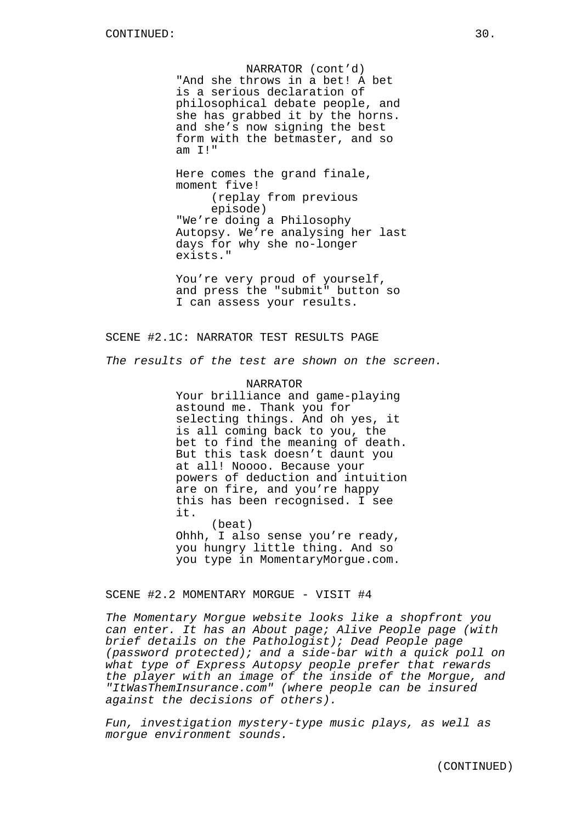NARRATOR (cont'd) "And she throws in a bet! A bet is a serious declaration of philosophical debate people, and she has grabbed it by the horns. and she's now signing the best form with the betmaster, and so am I!"

Here comes the grand finale, moment five! (replay from previous episode) "We're doing a Philosophy Autopsy. We're analysing her last days for why she no-longer exists."

You're very proud of yourself, and press the "submit" button so I can assess your results.

# SCENE #2.1C: NARRATOR TEST RESULTS PAGE

The results of the test are shown on the screen.

NARRATOR Your brilliance and game-playing astound me. Thank you for selecting things. And oh yes, it is all coming back to you, the bet to find the meaning of death. But this task doesn't daunt you at all! Noooo. Because your powers of deduction and intuition are on fire, and you're happy this has been recognised. I see it.

(beat) Ohhh, I also sense you're ready, you hungry little thing. And so you type in MomentaryMorgue.com.

SCENE #2.2 MOMENTARY MORGUE - VISIT #4

The Momentary Morgue website looks like a shopfront you can enter. It has an About page; Alive People page (with brief details on the Pathologist); Dead People page (password protected); and a side-bar with a quick poll on what type of Express Autopsy people prefer that rewards the player with an image of the inside of the Morgue, and "ItWasThemInsurance.com" (where people can be insured against the decisions of others).

Fun, investigation mystery-type music plays, as well as morgue environment sounds.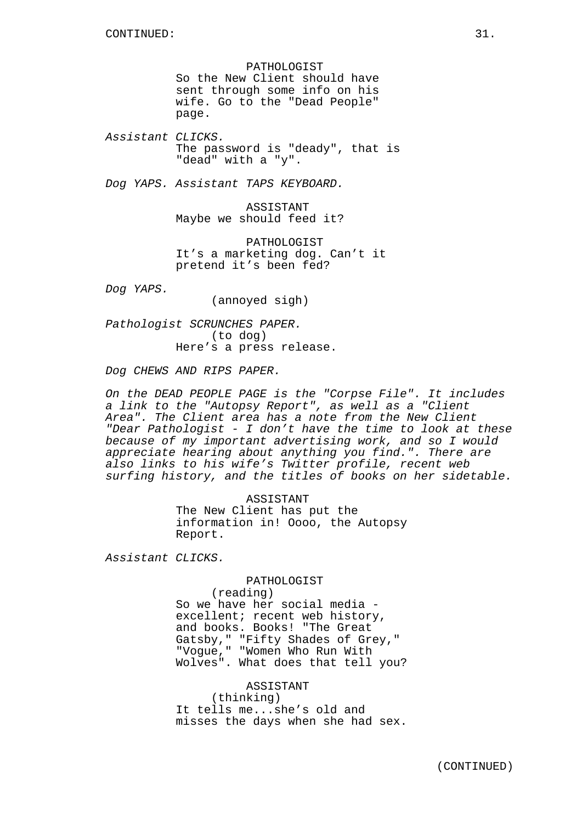PATHOLOGIST So the New Client should have sent through some info on his wife. Go to the "Dead People" page.

Assistant CLICKS. The password is "deady", that is "dead" with a "y".

Dog YAPS. Assistant TAPS KEYBOARD.

ASSISTANT Maybe we should feed it?

PATHOLOGIST It's a marketing dog. Can't it pretend it's been fed?

Dog YAPS.

(annoyed sigh)

Pathologist SCRUNCHES PAPER. (to dog) Here's a press release.

Dog CHEWS AND RIPS PAPER.

On the DEAD PEOPLE PAGE is the "Corpse File". It includes a link to the "Autopsy Report", as well as a "Client Area". The Client area has a note from the New Client "Dear Pathologist - I don't have the time to look at these because of my important advertising work, and so I would appreciate hearing about anything you find.". There are also links to his wife's Twitter profile, recent web surfing history, and the titles of books on her sidetable.

> ASSISTANT The New Client has put the information in! Oooo, the Autopsy Report.

Assistant CLICKS.

PATHOLOGIST

(reading) So we have her social media excellent; recent web history, and books. Books! "The Great Gatsby," "Fifty Shades of Grey," "Vogue," "Women Who Run With Wolves". What does that tell you?

ASSISTANT (thinking) It tells me...she's old and misses the days when she had sex.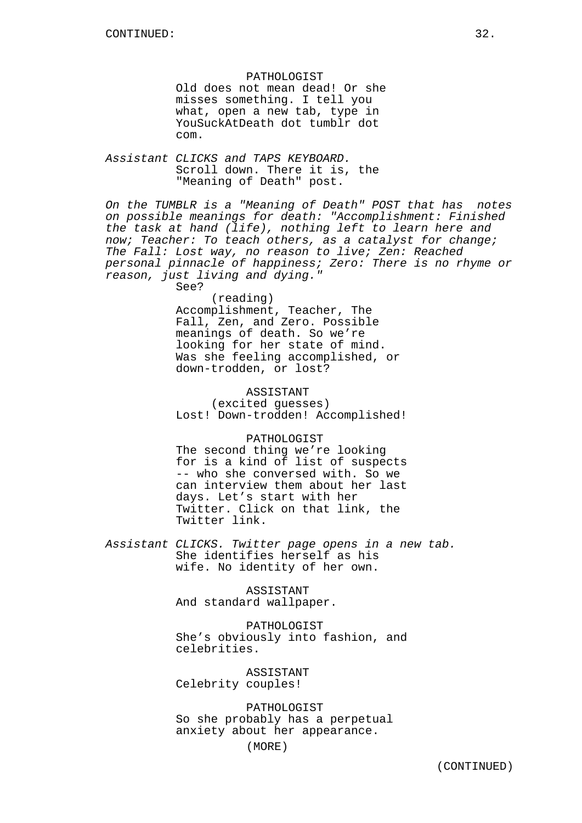PATHOLOGIST Old does not mean dead! Or she misses something. I tell you what, open a new tab, type in YouSuckAtDeath dot tumblr dot com.

Assistant CLICKS and TAPS KEYBOARD. Scroll down. There it is, the "Meaning of Death" post.

On the TUMBLR is a "Meaning of Death" POST that has notes on possible meanings for death: "Accomplishment: Finished the task at hand (life), nothing left to learn here and now; Teacher: To teach others, as a catalyst for change; The Fall: Lost way, no reason to live; Zen: Reached personal pinnacle of happiness; Zero: There is no rhyme or reason, just living and dying." See?

> (reading) Accomplishment, Teacher, The Fall, Zen, and Zero. Possible meanings of death. So we're looking for her state of mind. Was she feeling accomplished, or down-trodden, or lost?

ASSISTANT (excited guesses) Lost! Down-trodden! Accomplished!

PATHOLOGIST The second thing we're looking for is a kind of list of suspects -- who she conversed with. So we can interview them about her last days. Let's start with her

Twitter. Click on that link, the Twitter link.

Assistant CLICKS. Twitter page opens in a new tab. She identifies herself as his wife. No identity of her own.

> ASSISTANT And standard wallpaper.

PATHOLOGIST She's obviously into fashion, and celebrities.

ASSISTANT Celebrity couples!

PATHOLOGIST So she probably has a perpetual anxiety about her appearance.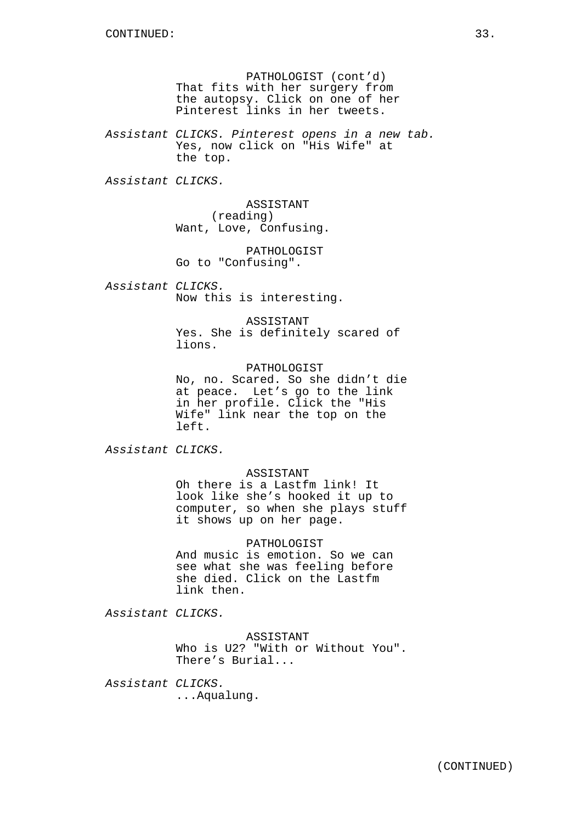PATHOLOGIST (cont'd) That fits with her surgery from the autopsy. Click on one of her Pinterest links in her tweets.

Assistant CLICKS. Pinterest opens in a new tab. Yes, now click on "His Wife" at the top.

Assistant CLICKS.

ASSISTANT (reading) Want, Love, Confusing.

PATHOLOGIST Go to "Confusing".

Assistant CLICKS. Now this is interesting.

> ASSISTANT Yes. She is definitely scared of lions.

PATHOLOGIST No, no. Scared. So she didn't die at peace. Let's go to the link in her profile. Click the "His Wife" link near the top on the left.

Assistant CLICKS.

# ASSISTANT

Oh there is a Lastfm link! It look like she's hooked it up to computer, so when she plays stuff it shows up on her page.

PATHOLOGIST And music is emotion. So we can see what she was feeling before she died. Click on the Lastfm link then.

Assistant CLICKS.

ASSISTANT Who is U2? "With or Without You". There's Burial...

Assistant CLICKS. ...Aqualung.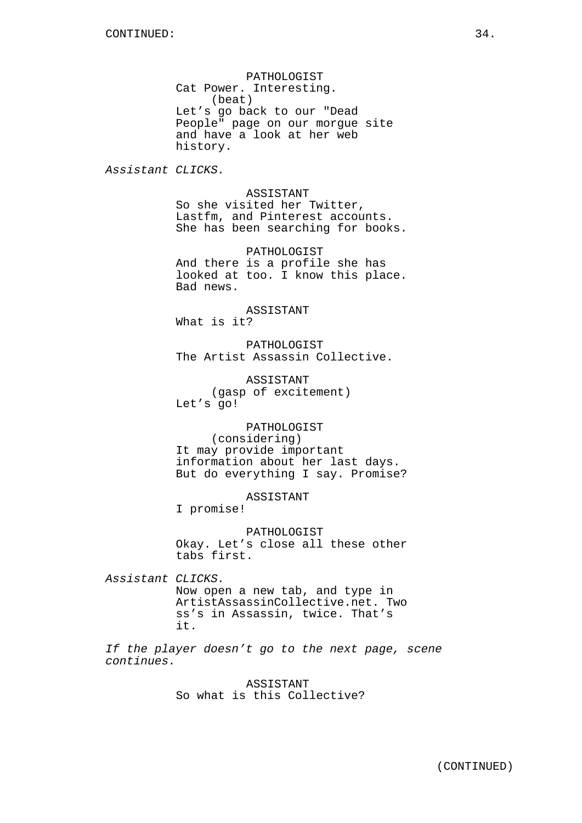PATHOLOGIST Cat Power. Interesting. (beat) Let's go back to our "Dead People" page on our morgue site and have a look at her web history.

Assistant CLICKS.

ASSISTANT So she visited her Twitter, Lastfm, and Pinterest accounts. She has been searching for books.

PATHOLOGIST And there is a profile she has looked at too. I know this place. Bad news.

ASSISTANT What is it?

PATHOLOGIST The Artist Assassin Collective.

ASSISTANT (gasp of excitement) Let's go!

PATHOLOGIST (considering) It may provide important information about her last days. But do everything I say. Promise?

ASSISTANT

I promise!

PATHOLOGIST Okay. Let's close all these other tabs first.

Assistant CLICKS. Now open a new tab, and type in ArtistAssassinCollective.net. Two ss's in Assassin, twice. That's it.

If the player doesn't go to the next page, scene continues.

> ASSISTANT So what is this Collective?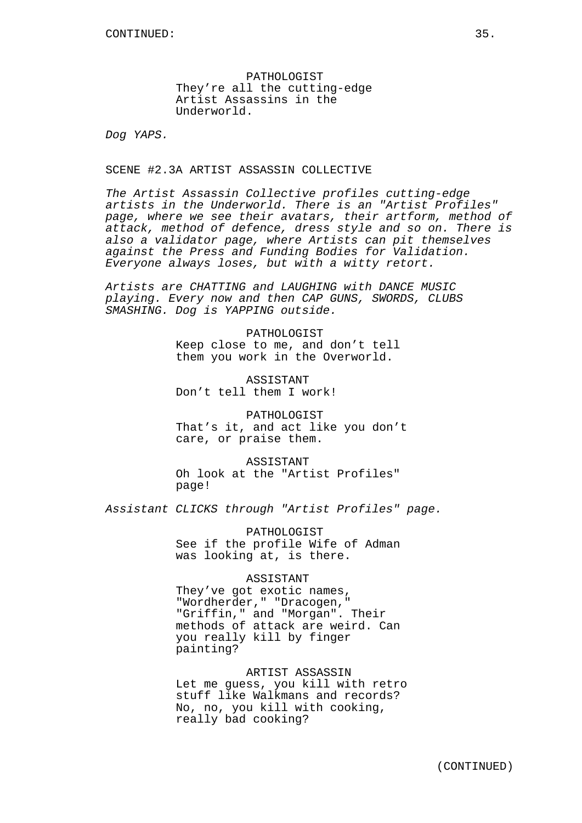PATHOLOGIST They're all the cutting-edge Artist Assassins in the Underworld.

Dog YAPS.

SCENE #2.3A ARTIST ASSASSIN COLLECTIVE

The Artist Assassin Collective profiles cutting-edge artists in the Underworld. There is an "Artist Profiles" page, where we see their avatars, their artform, method of attack, method of defence, dress style and so on. There is also a validator page, where Artists can pit themselves against the Press and Funding Bodies for Validation. Everyone always loses, but with a witty retort.

Artists are CHATTING and LAUGHING with DANCE MUSIC playing. Every now and then CAP GUNS, SWORDS, CLUBS SMASHING. Dog is YAPPING outside.

> PATHOLOGIST Keep close to me, and don't tell them you work in the Overworld.

ASSISTANT Don't tell them I work!

PATHOLOGIST That's it, and act like you don't care, or praise them.

ASSISTANT Oh look at the "Artist Profiles" page!

Assistant CLICKS through "Artist Profiles" page.

PATHOLOGIST See if the profile Wife of Adman was looking at, is there.

### ASSISTANT

They've got exotic names, "Wordherder," "Dracogen," "Griffin," and "Morgan". Their methods of attack are weird. Can you really kill by finger painting?

# ARTIST ASSASSIN

Let me guess, you kill with retro stuff like Walkmans and records? No, no, you kill with cooking, really bad cooking?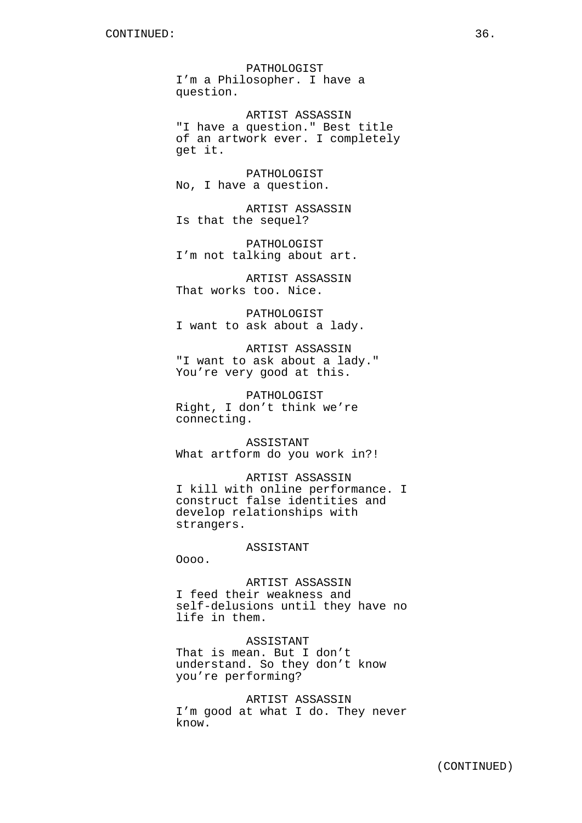PATHOLOGIST I'm a Philosopher. I have a question.

ARTIST ASSASSIN "I have a question." Best title of an artwork ever. I completely get it.

PATHOLOGIST No, I have a question.

ARTIST ASSASSIN Is that the sequel?

PATHOLOGIST I'm not talking about art.

ARTIST ASSASSIN That works too. Nice.

PATHOLOGIST I want to ask about a lady.

ARTIST ASSASSIN "I want to ask about a lady." You're very good at this.

PATHOLOGIST Right, I don't think we're connecting.

ASSISTANT What artform do you work in?!

ARTIST ASSASSIN I kill with online performance. I construct false identities and develop relationships with strangers.

ASSISTANT

Oooo.

ARTIST ASSASSIN I feed their weakness and self-delusions until they have no life in them.

ASSISTANT That is mean. But I don't understand. So they don't know you're performing?

ARTIST ASSASSIN I'm good at what I do. They never know.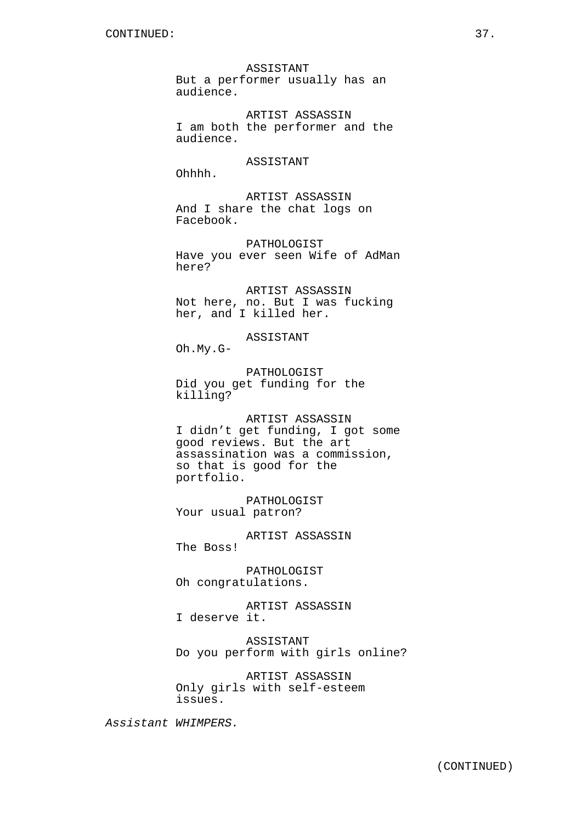ASSISTANT But a performer usually has an audience.

ARTIST ASSASSIN I am both the performer and the audience.

# ASSISTANT

Ohhhh.

ARTIST ASSASSIN And I share the chat logs on Facebook.

PATHOLOGIST Have you ever seen Wife of AdMan here?

ARTIST ASSASSIN Not here, no. But I was fucking her, and I killed her.

# ASSISTANT

Oh.My.G-

PATHOLOGIST Did you get funding for the killing?

ARTIST ASSASSIN I didn't get funding, I got some good reviews. But the art assassination was a commission, so that is good for the portfolio.

PATHOLOGIST Your usual patron?

ARTIST ASSASSIN The Boss!

PATHOLOGIST Oh congratulations.

ARTIST ASSASSIN I deserve it.

ASSISTANT Do you perform with girls online?

ARTIST ASSASSIN Only girls with self-esteem issues.

Assistant WHIMPERS.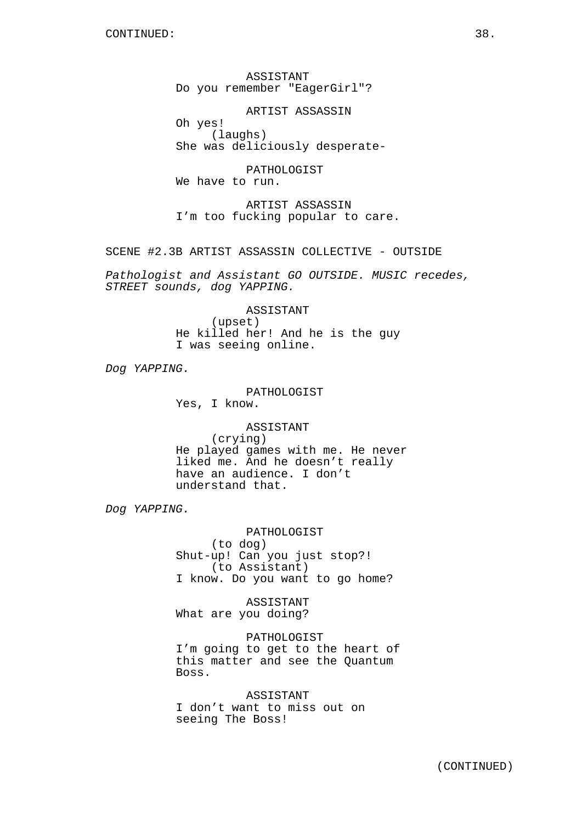ASSISTANT Do you remember "EagerGirl"?

ARTIST ASSASSIN Oh yes! (laughs) She was deliciously desperate-

PATHOLOGIST We have to run.

ARTIST ASSASSIN I'm too fucking popular to care.

SCENE #2.3B ARTIST ASSASSIN COLLECTIVE - OUTSIDE

Pathologist and Assistant GO OUTSIDE. MUSIC recedes, STREET sounds, dog YAPPING.

> ASSISTANT (upset) He killed her! And he is the guy I was seeing online.

Dog YAPPING.

# PATHOLOGIST Yes, I know.

ASSISTANT (crying) He played games with me. He never liked me. And he doesn't really have an audience. I don't understand that.

Dog YAPPING.

PATHOLOGIST (to dog) Shut-up! Can you just stop?! (to Assistant) I know. Do you want to go home?

ASSISTANT What are you doing?

PATHOLOGIST I'm going to get to the heart of this matter and see the Quantum Boss.

ASSISTANT I don't want to miss out on seeing The Boss!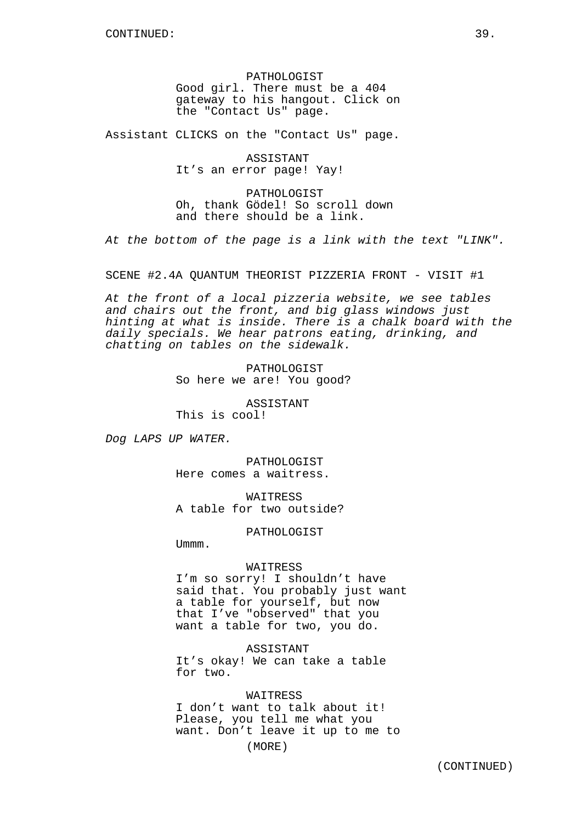PATHOLOGIST Good girl. There must be a 404 gateway to his hangout. Click on the "Contact Us" page.

Assistant CLICKS on the "Contact Us" page.

ASSISTANT It's an error page! Yay!

PATHOLOGIST Oh, thank Gödel! So scroll down and there should be a link.

At the bottom of the page is a link with the text "LINK".

SCENE #2.4A QUANTUM THEORIST PIZZERIA FRONT - VISIT #1

At the front of a local pizzeria website, we see tables and chairs out the front, and big glass windows just hinting at what is inside. There is a chalk board with the daily specials. We hear patrons eating, drinking, and chatting on tables on the sidewalk.

> PATHOLOGIST So here we are! You good?

> > ASSISTANT

This is cool!

Dog LAPS UP WATER.

PATHOLOGIST Here comes a waitress.

**WATTRESS** A table for two outside?

PATHOLOGIST

Ummm.

### WAITRESS

I'm so sorry! I shouldn't have said that. You probably just want a table for yourself, but now that I've "observed" that you want a table for two, you do.

ASSISTANT It's okay! We can take a table for two.

# WAITRESS I don't want to talk about it! Please, you tell me what you want. Don't leave it up to me to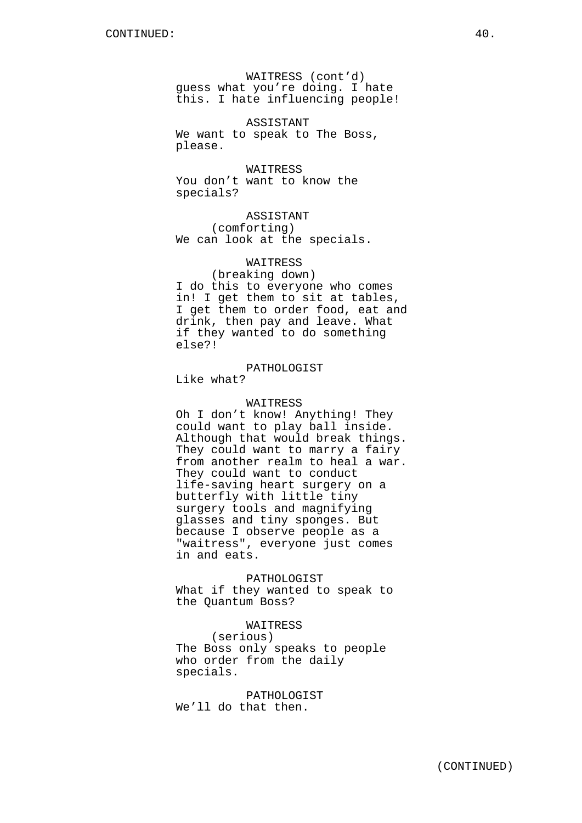WAITRESS (cont'd) guess what you're doing. I hate this. I hate influencing people!

ASSISTANT We want to speak to The Boss, please.

WAITRESS You don't want to know the specials?

ASSISTANT (comforting) We can look at the specials.

# WAITRESS

(breaking down) I do this to everyone who comes in! I get them to sit at tables, I get them to order food, eat and drink, then pay and leave. What if they wanted to do something else?!

# PATHOLOGIST

Like what?

# WAITRESS

Oh I don't know! Anything! They could want to play ball inside. Although that would break things. They could want to marry a fairy from another realm to heal a war. They could want to conduct life-saving heart surgery on a butterfly with little tiny surgery tools and magnifying glasses and tiny sponges. But because I observe people as a "waitress", everyone just comes in and eats.

PATHOLOGIST What if they wanted to speak to the Quantum Boss?

# WAITRESS

(serious) The Boss only speaks to people who order from the daily specials.

PATHOLOGIST We'll do that then.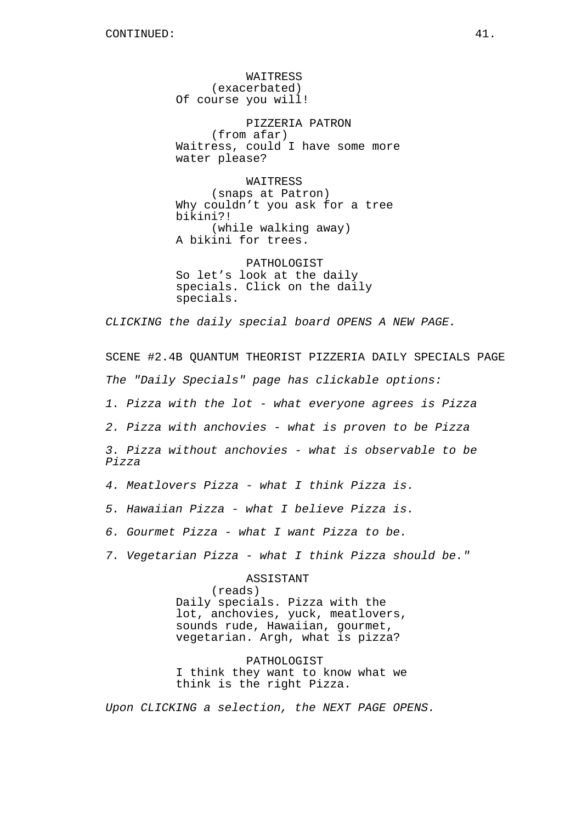WAITRESS (exacerbated) Of course you will!

PIZZERIA PATRON (from afar) Waitress, could I have some more water please?

WAITRESS (snaps at Patron) Why couldn't you ask for a tree bikini?! (while walking away) A bikini for trees.

PATHOLOGIST So let's look at the daily specials. Click on the daily specials.

CLICKING the daily special board OPENS A NEW PAGE.

SCENE #2.4B QUANTUM THEORIST PIZZERIA DAILY SPECIALS PAGE The "Daily Specials" page has clickable options: 1. Pizza with the lot - what everyone agrees is Pizza 2. Pizza with anchovies - what is proven to be Pizza 3. Pizza without anchovies - what is observable to be Pizza 4. Meatlovers Pizza - what I think Pizza is. 5. Hawaiian Pizza - what I believe Pizza is. 6. Gourmet Pizza - what I want Pizza to be. 7. Vegetarian Pizza - what I think Pizza should be."

> ASSISTANT (reads) Daily specials. Pizza with the lot, anchovies, yuck, meatlovers, sounds rude, Hawaiian, gourmet, vegetarian. Argh, what is pizza?

> PATHOLOGIST I think they want to know what we think is the right Pizza.

Upon CLICKING a selection, the NEXT PAGE OPENS.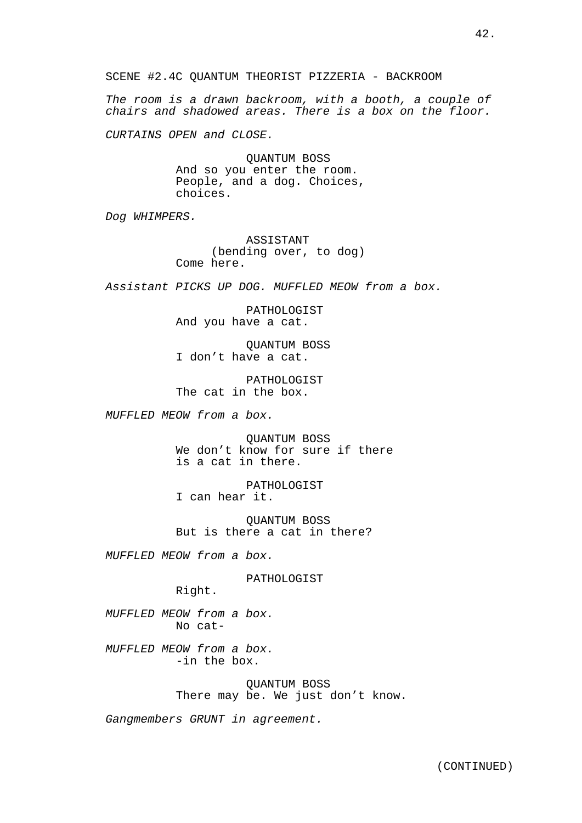42.

SCENE #2.4C QUANTUM THEORIST PIZZERIA - BACKROOM

The room is a drawn backroom, with a booth, a couple of chairs and shadowed areas. There is a box on the floor.

CURTAINS OPEN and CLOSE.

QUANTUM BOSS And so you enter the room. People, and a dog. Choices, choices.

Dog WHIMPERS.

ASSISTANT (bending over, to dog) Come here.

Assistant PICKS UP DOG. MUFFLED MEOW from a box.

PATHOLOGIST And you have a cat.

QUANTUM BOSS I don't have a cat.

PATHOLOGIST The cat in the box.

MUFFLED MEOW from a box.

QUANTUM BOSS We don't know for sure if there is a cat in there.

PATHOLOGIST I can hear it.

QUANTUM BOSS But is there a cat in there?

MUFFLED MEOW from a box.

PATHOLOGIST

Right.

MUFFLED MEOW from a box. No cat-

MUFFLED MEOW from a box. -in the box.

> QUANTUM BOSS There may be. We just don't know.

Gangmembers GRUNT in agreement.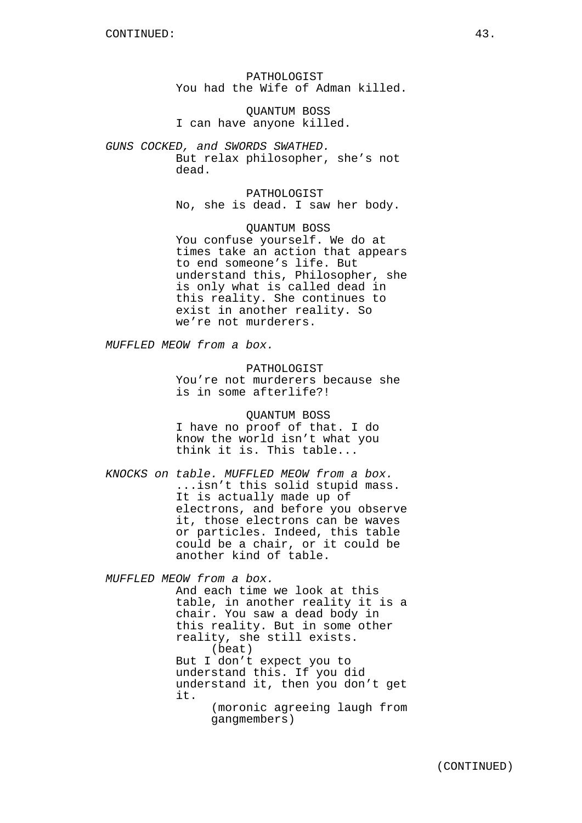PATHOLOGIST You had the Wife of Adman killed.

QUANTUM BOSS I can have anyone killed.

GUNS COCKED, and SWORDS SWATHED. But relax philosopher, she's not dead.

> PATHOLOGIST No, she is dead. I saw her body.

QUANTUM BOSS You confuse yourself. We do at times take an action that appears to end someone's life. But understand this, Philosopher, she is only what is called dead in this reality. She continues to exist in another reality. So we're not murderers.

MUFFLED MEOW from a box.

PATHOLOGIST You're not murderers because she is in some afterlife?!

QUANTUM BOSS I have no proof of that. I do know the world isn't what you think it is. This table...

KNOCKS on table. MUFFLED MEOW from a box. ...isn't this solid stupid mass. It is actually made up of electrons, and before you observe it, those electrons can be waves or particles. Indeed, this table could be a chair, or it could be another kind of table.

MUFFLED MEOW from a box.

And each time we look at this table, in another reality it is a chair. You saw a dead body in this reality. But in some other reality, she still exists. (beat) But I don't expect you to understand this. If you did understand it, then you don't get it. (moronic agreeing laugh from gangmembers)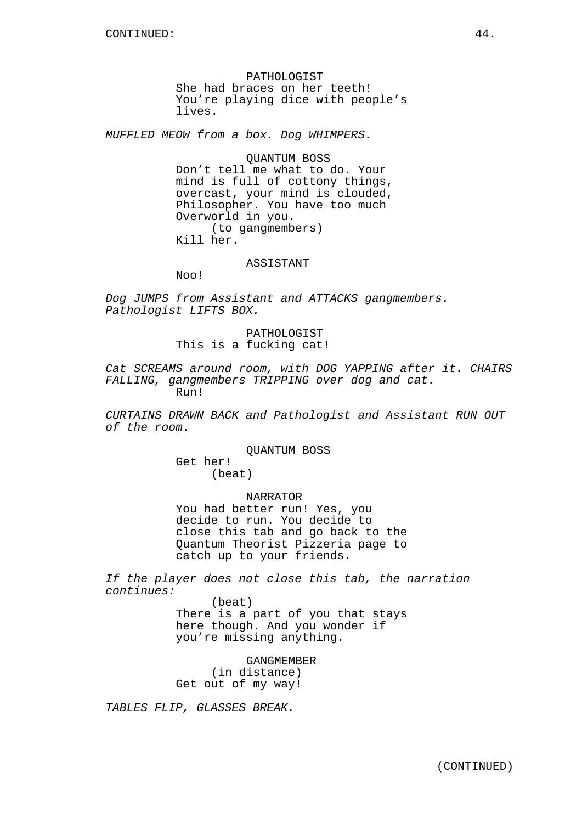PATHOLOGIST She had braces on her teeth! You're playing dice with people's lives.

MUFFLED MEOW from a box. Dog WHIMPERS.

QUANTUM BOSS Don't tell me what to do. Your mind is full of cottony things, overcast, your mind is clouded, Philosopher. You have too much Overworld in you. (to gangmembers) Kill her.

ASSISTANT

Noo!

Dog JUMPS from Assistant and ATTACKS gangmembers. Pathologist LIFTS BOX.

> PATHOLOGIST This is a fucking cat!

Cat SCREAMS around room, with DOG YAPPING after it. CHAIRS FALLING, gangmembers TRIPPING over dog and cat. Run!

CURTAINS DRAWN BACK and Pathologist and Assistant RUN OUT of the room.

> QUANTUM BOSS Get her! (beat)

> > NARRATOR

You had better run! Yes, you decide to run. You decide to close this tab and go back to the Quantum Theorist Pizzeria page to catch up to your friends.

If the player does not close this tab, the narration continues:

> (beat) There is a part of you that stays here though. And you wonder if you're missing anything.

> > GANGMEMBER

(in distance) Get out of my way!

TABLES FLIP, GLASSES BREAK.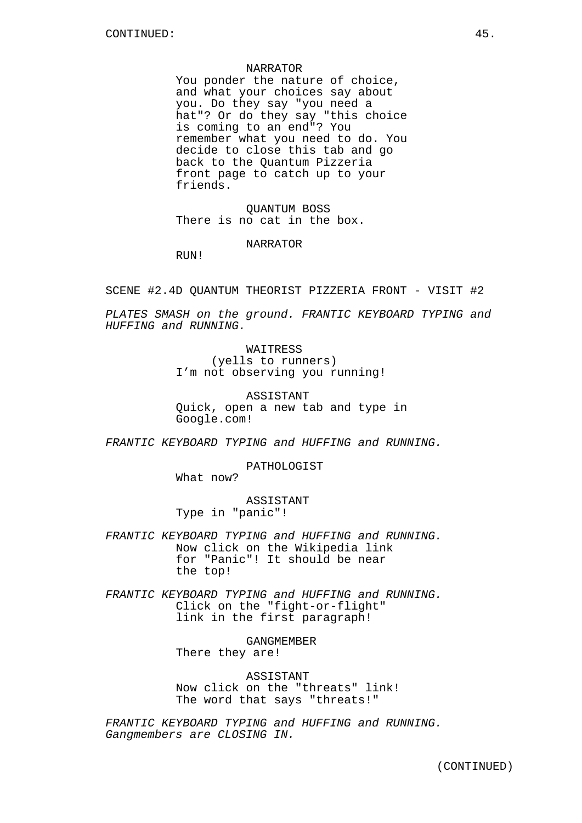#### NARRATOR

You ponder the nature of choice, and what your choices say about you. Do they say "you need a hat"? Or do they say "this choice is coming to an end"? You remember what you need to do. You decide to close this tab and go back to the Quantum Pizzeria front page to catch up to your friends.

QUANTUM BOSS There is no cat in the box.

NARRATOR

RIJN!

SCENE #2.4D QUANTUM THEORIST PIZZERIA FRONT - VISIT #2

PLATES SMASH on the ground. FRANTIC KEYBOARD TYPING and HUFFING and RUNNING.

> **WAITRESS** (yells to runners) I'm not observing you running!

ASSISTANT Quick, open a new tab and type in Google.com!

FRANTIC KEYBOARD TYPING and HUFFING and RUNNING.

PATHOLOGIST

What now?

ASSISTANT Type in "panic"!

FRANTIC KEYBOARD TYPING and HUFFING and RUNNING. Now click on the Wikipedia link for "Panic"! It should be near the top!

FRANTIC KEYBOARD TYPING and HUFFING and RUNNING. Click on the "fight-or-flight" link in the first paragraph!

> GANGMEMBER There they are!

ASSISTANT Now click on the "threats" link! The word that says "threats!"

FRANTIC KEYBOARD TYPING and HUFFING and RUNNING. Gangmembers are CLOSING IN.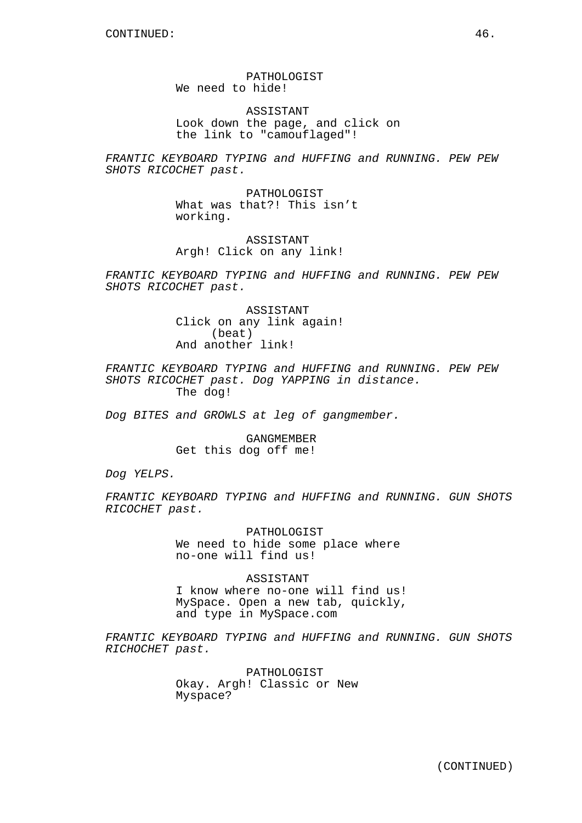PATHOLOGIST We need to hide!

ASSISTANT Look down the page, and click on the link to "camouflaged"!

FRANTIC KEYBOARD TYPING and HUFFING and RUNNING. PEW PEW SHOTS RICOCHET past.

> PATHOLOGIST What was that?! This isn't working.

ASSISTANT Argh! Click on any link!

FRANTIC KEYBOARD TYPING and HUFFING and RUNNING. PEW PEW SHOTS RICOCHET past.

> ASSISTANT Click on any link again! (beat) And another link!

FRANTIC KEYBOARD TYPING and HUFFING and RUNNING. PEW PEW SHOTS RICOCHET past. Dog YAPPING in distance. The dog!

Dog BITES and GROWLS at leg of gangmember.

GANGMEMBER Get this dog off me!

Dog YELPS.

FRANTIC KEYBOARD TYPING and HUFFING and RUNNING. GUN SHOTS RICOCHET past.

> PATHOLOGIST We need to hide some place where no-one will find us!

ASSISTANT I know where no-one will find us! MySpace. Open a new tab, quickly, and type in MySpace.com

FRANTIC KEYBOARD TYPING and HUFFING and RUNNING. GUN SHOTS RICHOCHET past.

> PATHOLOGIST Okay. Argh! Classic or New Myspace?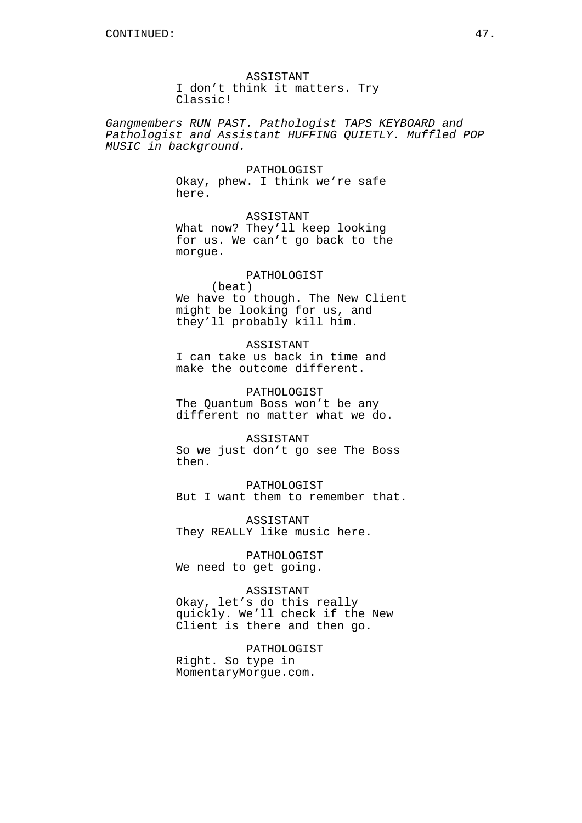ASSISTANT I don't think it matters. Try Classic!

Gangmembers RUN PAST. Pathologist TAPS KEYBOARD and Pathologist and Assistant HUFFING QUIETLY. Muffled POP MUSIC in background.

> PATHOLOGIST Okay, phew. I think we're safe here.

ASSISTANT What now? They'll keep looking for us. We can't go back to the morgue.

# PATHOLOGIST

(beat) We have to though. The New Client might be looking for us, and they'll probably kill him.

#### ASSISTANT

I can take us back in time and make the outcome different.

PATHOLOGIST The Quantum Boss won't be any different no matter what we do.

#### ASSISTANT

So we just don't go see The Boss then.

PATHOLOGIST But I want them to remember that.

ASSISTANT They REALLY like music here.

PATHOLOGIST We need to get going.

# ASSISTANT

Okay, let's do this really quickly. We'll check if the New Client is there and then go.

PATHOLOGIST Right. So type in MomentaryMorgue.com.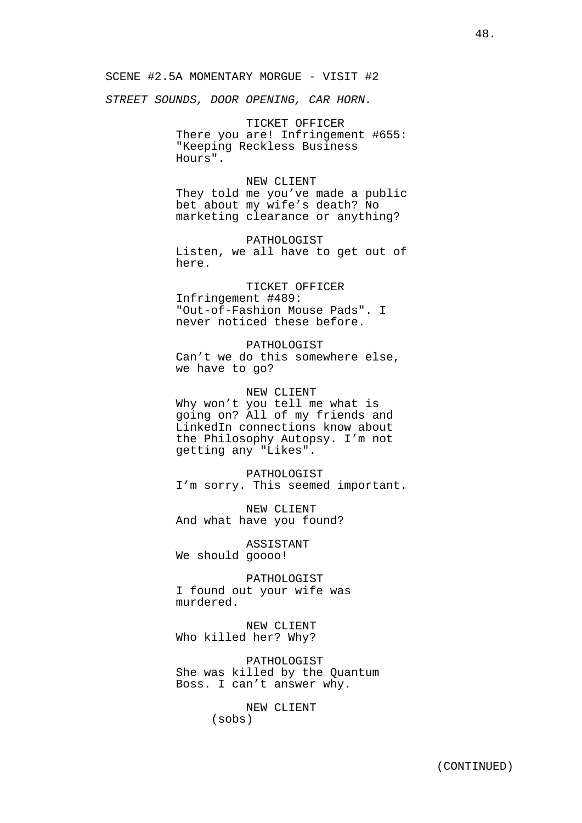SCENE #2.5A MOMENTARY MORGUE - VISIT #2

STREET SOUNDS, DOOR OPENING, CAR HORN.

TICKET OFFICER There you are! Infringement #655: "Keeping Reckless Business Hours".

### NEW CLIENT

They told me you've made a public bet about my wife's death? No marketing clearance or anything?

#### PATHOLOGIST

Listen, we all have to get out of here.

# TICKET OFFICER

Infringement #489: "Out-of-Fashion Mouse Pads". I never noticed these before.

PATHOLOGIST Can't we do this somewhere else, we have to go?

# NEW CLIENT

Why won't you tell me what is going on? All of my friends and LinkedIn connections know about the Philosophy Autopsy. I'm not getting any "Likes".

PATHOLOGIST I'm sorry. This seemed important.

NEW CLIENT And what have you found?

ASSISTANT We should goooo!

PATHOLOGIST I found out your wife was murdered.

NEW CLIENT Who killed her? Why?

PATHOLOGIST She was killed by the Quantum Boss. I can't answer why.

> NEW CLIENT (sobs)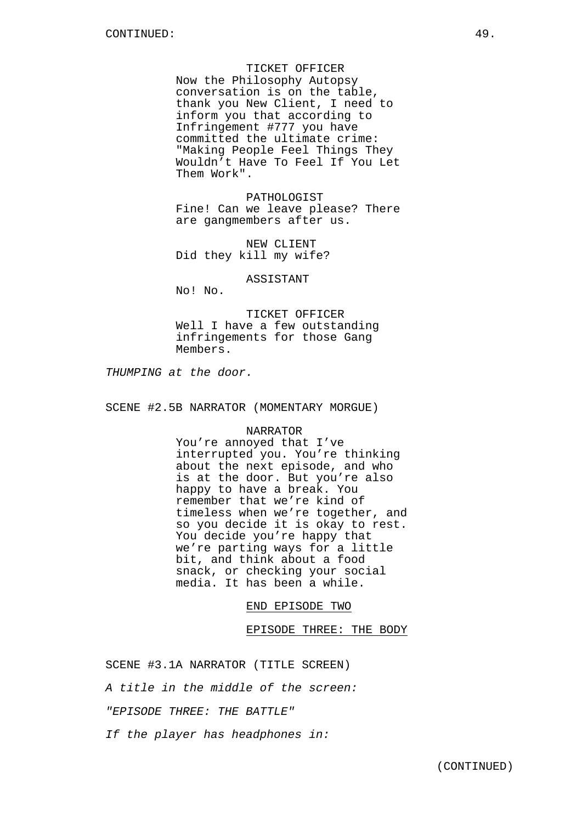#### TICKET OFFICER

Now the Philosophy Autopsy conversation is on the table, thank you New Client, I need to inform you that according to Infringement #777 you have committed the ultimate crime: "Making People Feel Things They Wouldn't Have To Feel If You Let Them Work".

PATHOLOGIST Fine! Can we leave please? There are gangmembers after us.

NEW CLIENT Did they kill my wife?

#### ASSISTANT

No! No.

TICKET OFFICER Well I have a few outstanding infringements for those Gang Members.

THUMPING at the door.

SCENE #2.5B NARRATOR (MOMENTARY MORGUE)

#### NARRATOR

You're annoyed that I've interrupted you. You're thinking about the next episode, and who is at the door. But you're also happy to have a break. You remember that we're kind of timeless when we're together, and so you decide it is okay to rest. You decide you're happy that we're parting ways for a little bit, and think about a food snack, or checking your social media. It has been a while.

# END EPISODE TWO

## EPISODE THREE: THE BODY

SCENE #3.1A NARRATOR (TITLE SCREEN)

A title in the middle of the screen:

"EPISODE THREE: THE BATTLE"

If the player has headphones in: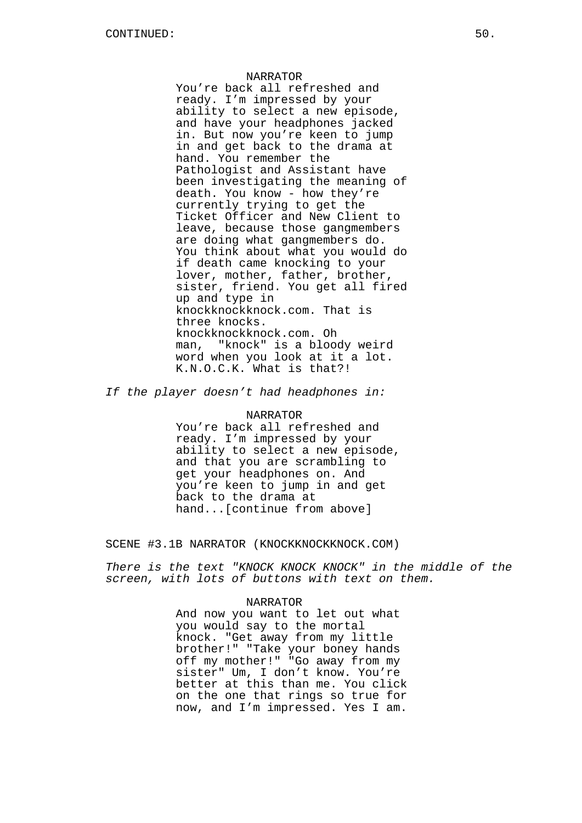#### NARRATOR

You're back all refreshed and ready. I'm impressed by your ability to select a new episode, and have your headphones jacked in. But now you're keen to jump in and get back to the drama at hand. You remember the Pathologist and Assistant have been investigating the meaning of death. You know - how they're currently trying to get the Ticket Officer and New Client to leave, because those gangmembers are doing what gangmembers do. You think about what you would do if death came knocking to your lover, mother, father, brother, sister, friend. You get all fired up and type in knockknockknock.com. That is three knocks. knockknockknock.com. Oh man, "knock" is a bloody weird word when you look at it a lot. K.N.O.C.K. What is that?!

If the player doesn't had headphones in:

#### NARRATOR

You're back all refreshed and ready. I'm impressed by your ability to select a new episode, and that you are scrambling to get your headphones on. And you're keen to jump in and get back to the drama at hand...[continue from above]

SCENE #3.1B NARRATOR (KNOCKKNOCKKNOCK.COM)

There is the text "KNOCK KNOCK KNOCK" in the middle of the screen, with lots of buttons with text on them.

#### NARRATOR

And now you want to let out what you would say to the mortal knock. "Get away from my little brother!" "Take your boney hands off my mother!" "Go away from my sister" Um, I don't know. You're better at this than me. You click on the one that rings so true for now, and I'm impressed. Yes I am.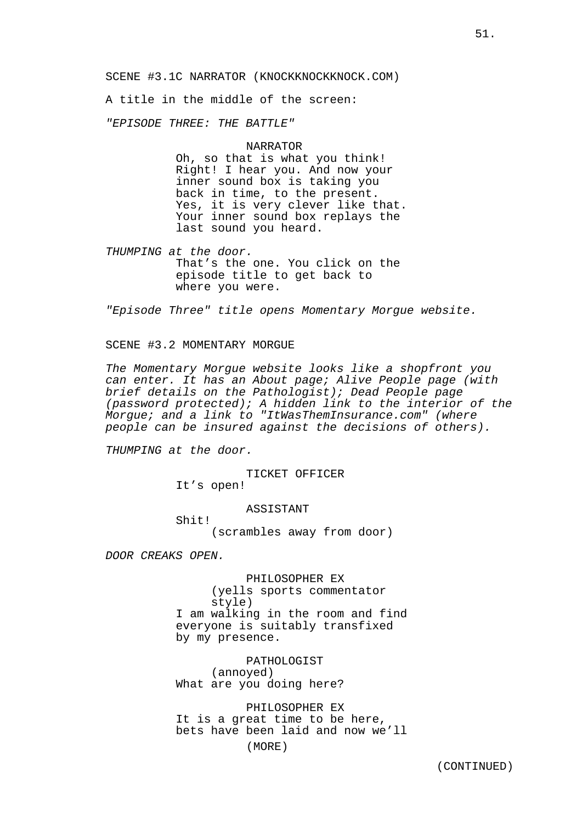SCENE #3.1C NARRATOR (KNOCKKNOCKKNOCK.COM)

A title in the middle of the screen:

"EPISODE THREE: THE BATTLE"

#### NARRATOR

Oh, so that is what you think! Right! I hear you. And now your inner sound box is taking you back in time, to the present. Yes, it is very clever like that. Your inner sound box replays the last sound you heard.

THUMPING at the door. That's the one. You click on the episode title to get back to where you were.

"Episode Three" title opens Momentary Morgue website.

SCENE #3.2 MOMENTARY MORGUE

The Momentary Morgue website looks like a shopfront you can enter. It has an About page; Alive People page (with brief details on the Pathologist); Dead People page (password protected); A hidden link to the interior of the Morgue; and a link to "ItWasThemInsurance.com" (where people can be insured against the decisions of others).

THUMPING at the door.

TICKET OFFICER It's open!

ASSISTANT Shit! (scrambles away from door)

DOOR CREAKS OPEN.

PHILOSOPHER EX (yells sports commentator style) I am walking in the room and find everyone is suitably transfixed by my presence.

PATHOLOGIST (annoyed) What are you doing here?

PHILOSOPHER EX It is a great time to be here, bets have been laid and now we'll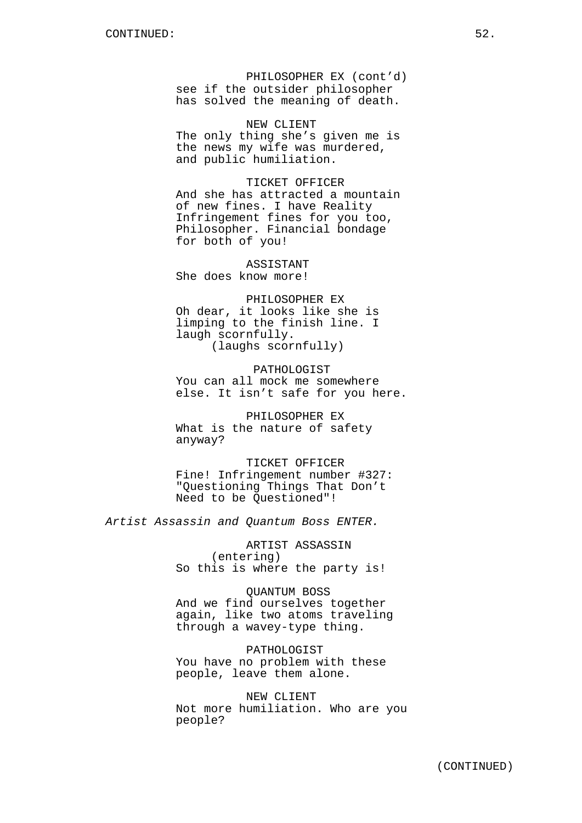PHILOSOPHER EX (cont'd) see if the outsider philosopher has solved the meaning of death.

NEW CLIENT The only thing she's given me is the news my wife was murdered, and public humiliation.

TICKET OFFICER And she has attracted a mountain of new fines. I have Reality Infringement fines for you too, Philosopher. Financial bondage for both of you!

ASSISTANT She does know more!

PHILOSOPHER EX Oh dear, it looks like she is limping to the finish line. I laugh scornfully. (laughs scornfully)

PATHOLOGIST You can all mock me somewhere else. It isn't safe for you here.

PHILOSOPHER EX What is the nature of safety anyway?

TICKET OFFICER Fine! Infringement number #327: "Questioning Things That Don't Need to be Questioned"!

Artist Assassin and Quantum Boss ENTER.

ARTIST ASSASSIN (entering) So this is where the party is!

QUANTUM BOSS And we find ourselves together again, like two atoms traveling through a wavey-type thing.

PATHOLOGIST You have no problem with these people, leave them alone.

NEW CLIENT Not more humiliation. Who are you people?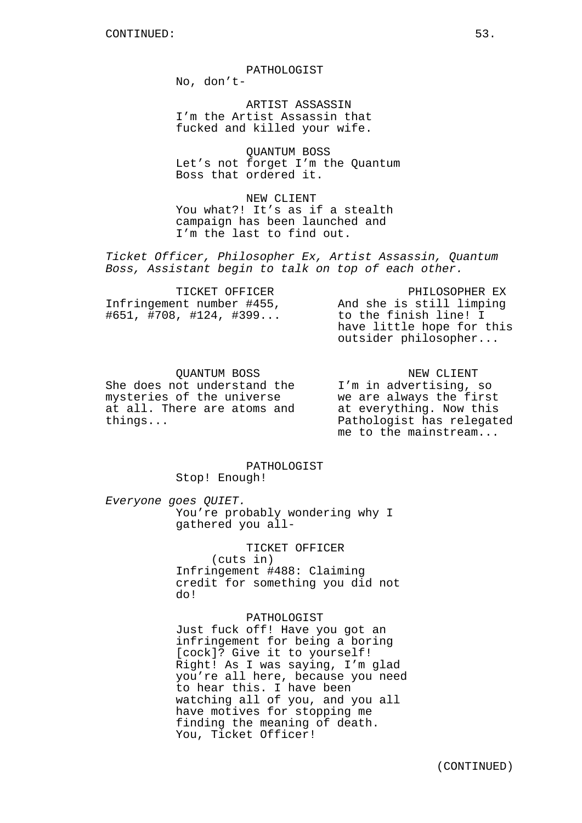PATHOLOGIST

No, don't-

ARTIST ASSASSIN I'm the Artist Assassin that fucked and killed your wife.

QUANTUM BOSS Let's not forget I'm the Quantum Boss that ordered it.

NEW CLIENT You what?! It's as if a stealth campaign has been launched and I'm the last to find out.

Ticket Officer, Philosopher Ex, Artist Assassin, Quantum Boss, Assistant begin to talk on top of each other.

| TICKET OFFICER               | PHILOSOPHER EX            |
|------------------------------|---------------------------|
| Infringement number #455,    | And she is still limping  |
| $\#651, \#708, \#124, \#399$ | to the finish line! I     |
|                              | have little hope for this |
|                              | outsider philosopher      |

QUANTUM BOSS She does not understand the mysteries of the universe at all. There are atoms and things...

NEW CLIENT I'm in advertising, so we are always the first at everything. Now this Pathologist has relegated me to the mainstream...

PATHOLOGIST Stop! Enough!

Everyone goes QUIET. You're probably wondering why I gathered you all-

> TICKET OFFICER (cuts in) Infringement #488: Claiming credit for something you did not do!

> > PATHOLOGIST

Just fuck off! Have you got an infringement for being a boring [cock]? Give it to yourself! Right! As I was saying, I'm glad you're all here, because you need to hear this. I have been watching all of you, and you all have motives for stopping me finding the meaning of death. You, Ticket Officer!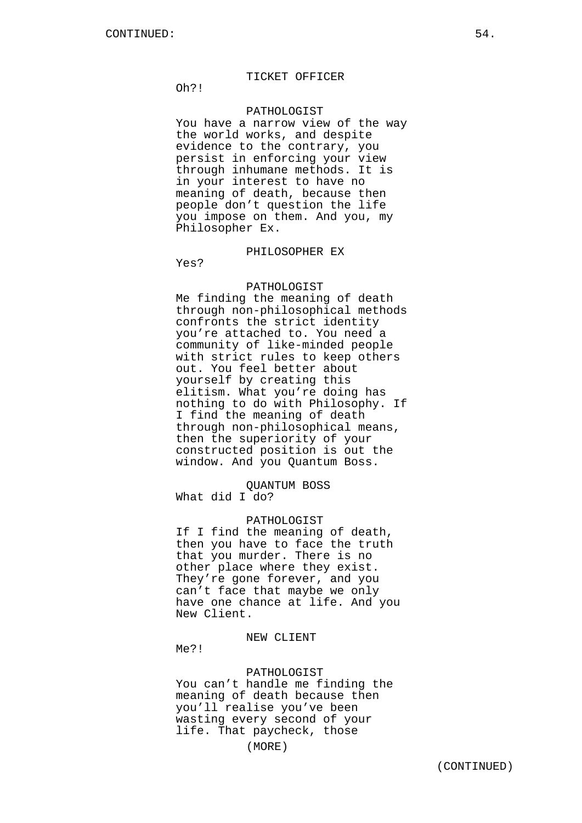### TICKET OFFICER

Oh?!

### PATHOLOGIST

You have a narrow view of the way the world works, and despite evidence to the contrary, you persist in enforcing your view through inhumane methods. It is in your interest to have no meaning of death, because then people don't question the life you impose on them. And you, my Philosopher Ex.

# PHILOSOPHER EX

Yes?

# PATHOLOGIST

Me finding the meaning of death through non-philosophical methods confronts the strict identity you're attached to. You need a community of like-minded people with strict rules to keep others out. You feel better about yourself by creating this elitism. What you're doing has nothing to do with Philosophy. If I find the meaning of death through non-philosophical means, then the superiority of your constructed position is out the window. And you Quantum Boss.

### QUANTUM BOSS What did I do?

#### PATHOLOGIST

If I find the meaning of death, then you have to face the truth that you murder. There is no other place where they exist. They're gone forever, and you can't face that maybe we only have one chance at life. And you New Client.

## NEW CLIENT

Me?!

### PATHOLOGIST

You can't handle me finding the meaning of death because then you'll realise you've been wasting every second of your life. That paycheck, those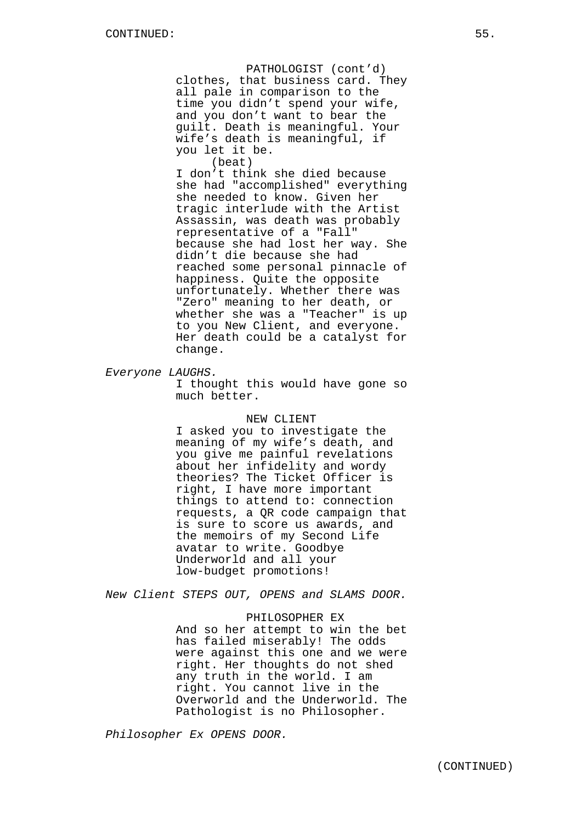PATHOLOGIST (cont'd) clothes, that business card. They all pale in comparison to the time you didn't spend your wife, and you don't want to bear the guilt. Death is meaningful. Your wife's death is meaningful, if you let it be.

(beat) I don't think she died because she had "accomplished" everything she needed to know. Given her tragic interlude with the Artist Assassin, was death was probably representative of a "Fall" because she had lost her way. She didn't die because she had reached some personal pinnacle of happiness. Quite the opposite unfortunately. Whether there was "Zero" meaning to her death, or whether she was a "Teacher" is up to you New Client, and everyone. Her death could be a catalyst for change.

Everyone LAUGHS.

I thought this would have gone so much better.

#### NEW CLIENT

I asked you to investigate the meaning of my wife's death, and you give me painful revelations about her infidelity and wordy theories? The Ticket Officer is right, I have more important things to attend to: connection requests, a QR code campaign that is sure to score us awards, and the memoirs of my Second Life avatar to write. Goodbye Underworld and all your low-budget promotions!

New Client STEPS OUT, OPENS and SLAMS DOOR.

### PHILOSOPHER EX

And so her attempt to win the bet has failed miserably! The odds were against this one and we were right. Her thoughts do not shed any truth in the world. I am right. You cannot live in the Overworld and the Underworld. The Pathologist is no Philosopher.

Philosopher Ex OPENS DOOR.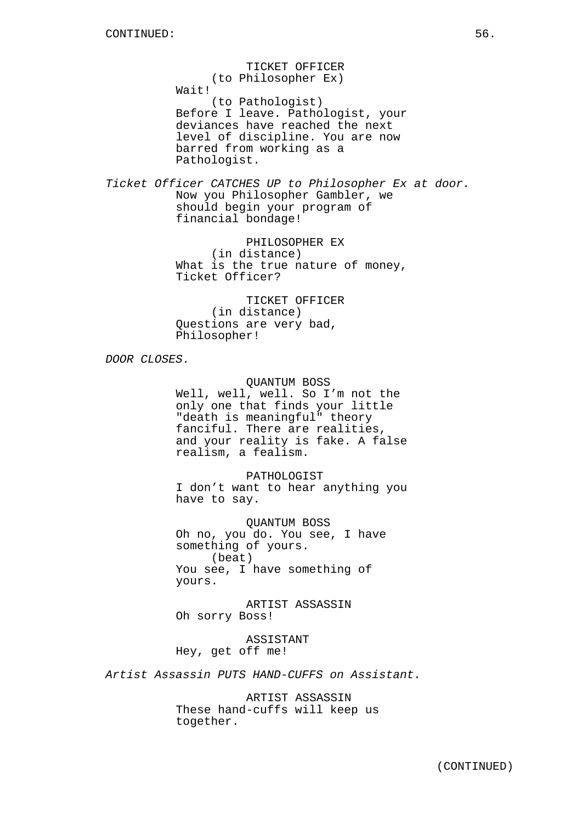TICKET OFFICER (to Philosopher Ex) Wait! (to Pathologist) Before I leave. Pathologist, your deviances have reached the next level of discipline. You are now barred from working as a Pathologist.

Ticket Officer CATCHES UP to Philosopher Ex at door. Now you Philosopher Gambler, we should begin your program of financial bondage!

> PHILOSOPHER EX (in distance) What is the true nature of money, Ticket Officer?

TICKET OFFICER (in distance) Questions are very bad, Philosopher!

DOOR CLOSES.

QUANTUM BOSS Well, well, well. So I'm not the only one that finds your little "death is meaningful" theory fanciful. There are realities, and your reality is fake. A false realism, a fealism.

PATHOLOGIST I don't want to hear anything you have to say.

QUANTUM BOSS Oh no, you do. You see, I have something of yours. (beat) You see, I have something of yours.

ARTIST ASSASSIN Oh sorry Boss!

ASSISTANT Hey, get off me!

Artist Assassin PUTS HAND-CUFFS on Assistant.

ARTIST ASSASSIN These hand-cuffs will keep us together.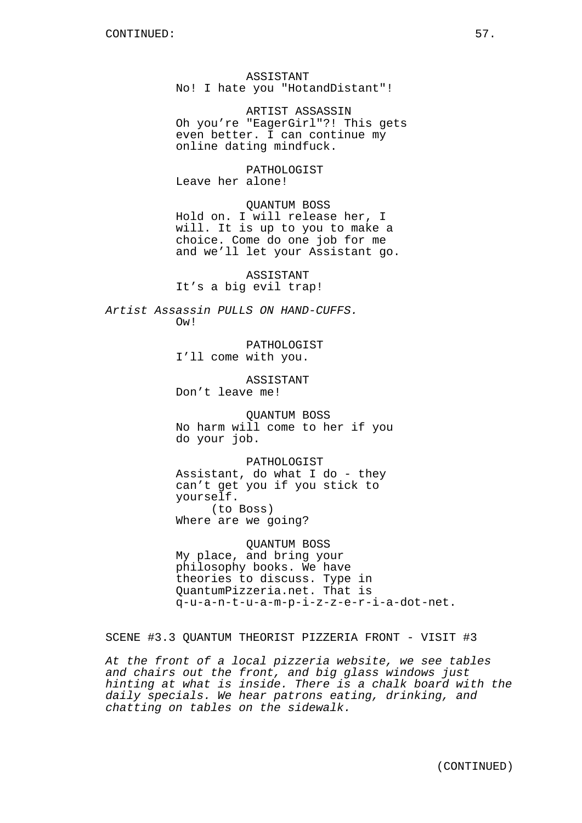ASSISTANT No! I hate you "HotandDistant"!

ARTIST ASSASSIN Oh you're "EagerGirl"?! This gets even better. I can continue my online dating mindfuck.

PATHOLOGIST Leave her alone!

QUANTUM BOSS Hold on. I will release her, I will. It is up to you to make a choice. Come do one job for me and we'll let your Assistant go.

ASSISTANT It's a big evil trap!

Artist Assassin PULLS ON HAND-CUFFS. Ow!

> PATHOLOGIST I'll come with you.

ASSISTANT Don't leave me!

QUANTUM BOSS No harm will come to her if you do your job.

PATHOLOGIST Assistant, do what I do - they can't get you if you stick to yourself. (to Boss) Where are we going?

QUANTUM BOSS My place, and bring your philosophy books. We have theories to discuss. Type in QuantumPizzeria.net. That is q-u-a-n-t-u-a-m-p-i-z-z-e-r-i-a-dot-net.

SCENE #3.3 QUANTUM THEORIST PIZZERIA FRONT - VISIT #3

At the front of a local pizzeria website, we see tables and chairs out the front, and big glass windows just hinting at what is inside. There is a chalk board with the daily specials. We hear patrons eating, drinking, and chatting on tables on the sidewalk.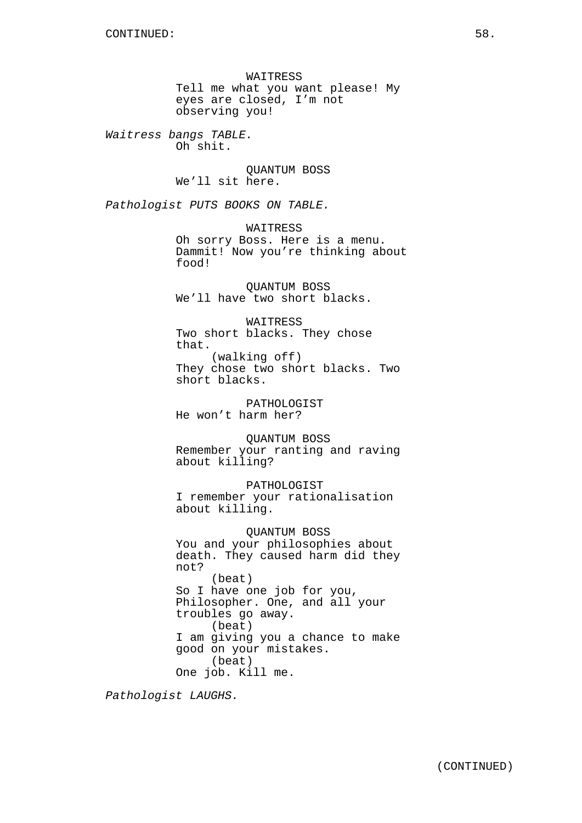WAITRESS Tell me what you want please! My eyes are closed, I'm not observing you!

Waitress bangs TABLE. Oh shit.

> QUANTUM BOSS We'll sit here.

Pathologist PUTS BOOKS ON TABLE.

WAITRESS Oh sorry Boss. Here is a menu. Dammit! Now you're thinking about food!

QUANTUM BOSS We'll have two short blacks.

WAITRESS Two short blacks. They chose that. (walking off) They chose two short blacks. Two short blacks.

PATHOLOGIST He won't harm her?

QUANTUM BOSS Remember your ranting and raving about killing?

PATHOLOGIST I remember your rationalisation about killing.

QUANTUM BOSS You and your philosophies about death. They caused harm did they not? (beat) So I have one job for you, Philosopher. One, and all your troubles go away. (beat) I am giving you a chance to make good on your mistakes. (beat) One job. Kill me.

Pathologist LAUGHS.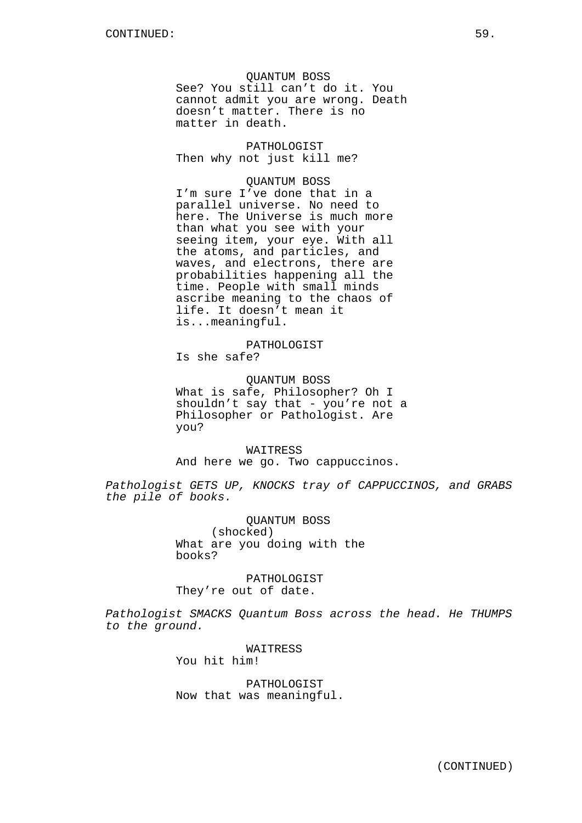QUANTUM BOSS See? You still can't do it. You cannot admit you are wrong. Death doesn't matter. There is no matter in death.

PATHOLOGIST Then why not just kill me?

## QUANTUM BOSS

I'm sure I've done that in a parallel universe. No need to here. The Universe is much more than what you see with your seeing item, your eye. With all the atoms, and particles, and waves, and electrons, there are probabilities happening all the time. People with small minds ascribe meaning to the chaos of life. It doesn't mean it is...meaningful.

# PATHOLOGIST

Is she safe?

# QUANTUM BOSS What is safe, Philosopher? Oh I

shouldn't say that - you're not a Philosopher or Pathologist. Are you?

### WAITRESS

And here we go. Two cappuccinos.

Pathologist GETS UP, KNOCKS tray of CAPPUCCINOS, and GRABS the pile of books.

> QUANTUM BOSS (shocked) What are you doing with the books?

PATHOLOGIST They're out of date.

Pathologist SMACKS Quantum Boss across the head. He THUMPS to the ground.

> WAITRESS You hit him!

PATHOLOGIST Now that was meaningful.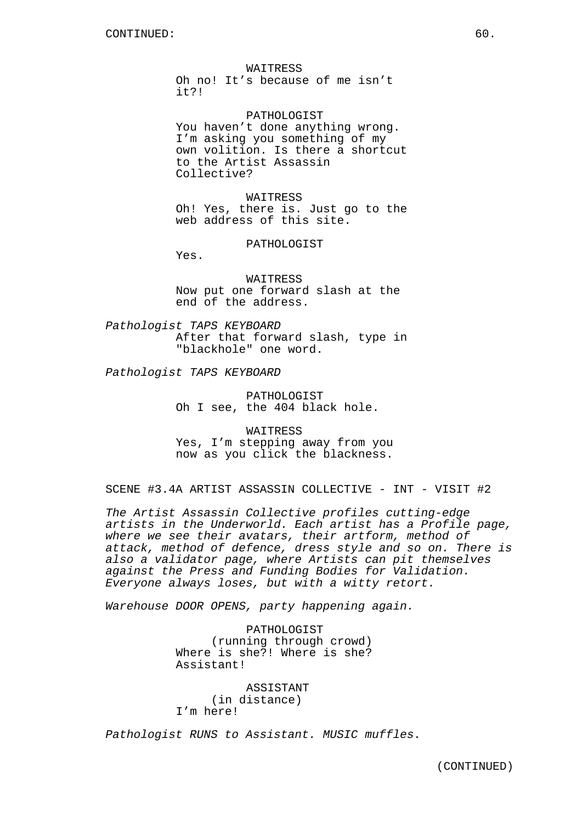WAITRESS Oh no! It's because of me isn't it?!

PATHOLOGIST You haven't done anything wrong. I'm asking you something of my own volition. Is there a shortcut to the Artist Assassin Collective?

WAITRESS Oh! Yes, there is. Just go to the web address of this site.

PATHOLOGIST

Yes.

WAITRESS Now put one forward slash at the end of the address.

Pathologist TAPS KEYBOARD After that forward slash, type in "blackhole" one word.

Pathologist TAPS KEYBOARD

PATHOLOGIST Oh I see, the 404 black hole.

WAITRESS Yes, I'm stepping away from you now as you click the blackness.

SCENE #3.4A ARTIST ASSASSIN COLLECTIVE - INT - VISIT #2

The Artist Assassin Collective profiles cutting-edge artists in the Underworld. Each artist has a Profile page, where we see their avatars, their artform, method of attack, method of defence, dress style and so on. There is also a validator page, where Artists can pit themselves against the Press and Funding Bodies for Validation. Everyone always loses, but with a witty retort.

Warehouse DOOR OPENS, party happening again.

PATHOLOGIST (running through crowd) Where is she?! Where is she? Assistant!

ASSISTANT (in distance) I'm here!

Pathologist RUNS to Assistant. MUSIC muffles.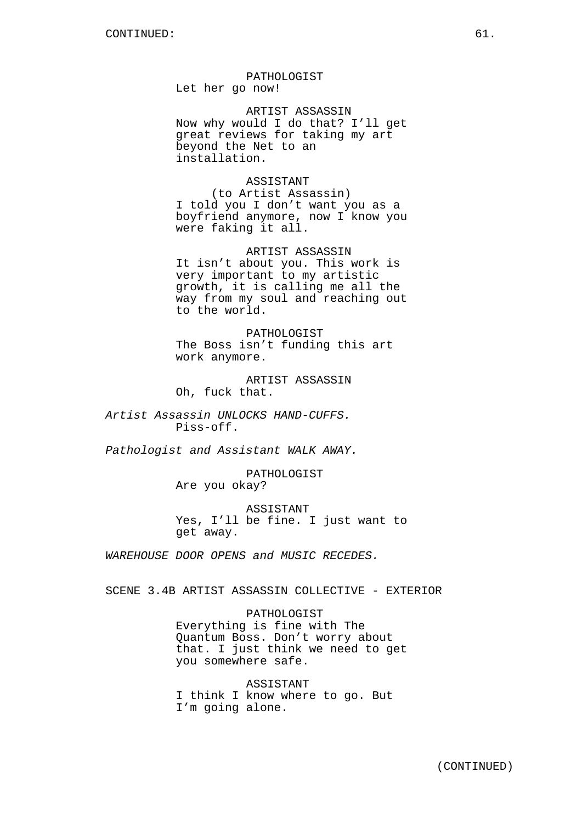PATHOLOGIST Let her go now!

ARTIST ASSASSIN Now why would I do that? I'll get great reviews for taking my art beyond the Net to an installation.

ASSISTANT

(to Artist Assassin) I told you I don't want you as a boyfriend anymore, now I know you were faking it all.

ARTIST ASSASSIN It isn't about you. This work is very important to my artistic growth, it is calling me all the way from my soul and reaching out to the world.

PATHOLOGIST The Boss isn't funding this art work anymore.

ARTIST ASSASSIN Oh, fuck that.

Artist Assassin UNLOCKS HAND-CUFFS. Piss-off.

Pathologist and Assistant WALK AWAY.

PATHOLOGIST Are you okay?

ASSISTANT Yes, I'll be fine. I just want to get away.

WAREHOUSE DOOR OPENS and MUSIC RECEDES.

SCENE 3.4B ARTIST ASSASSIN COLLECTIVE - EXTERIOR

PATHOLOGIST

Everything is fine with The Quantum Boss. Don't worry about that. I just think we need to get you somewhere safe.

ASSISTANT I think I know where to go. But I'm going alone.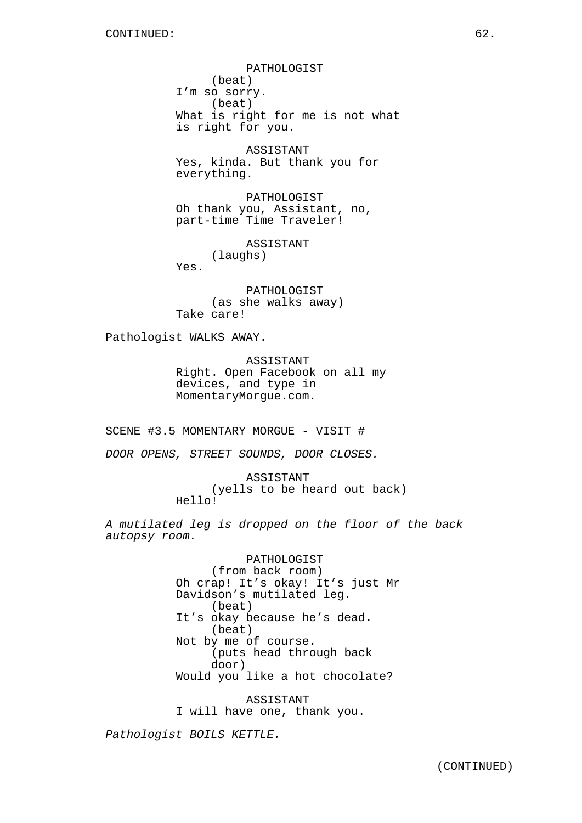PATHOLOGIST (beat) I'm so sorry. (beat) What is right for me is not what is right for you.

ASSISTANT Yes, kinda. But thank you for everything.

PATHOLOGIST Oh thank you, Assistant, no, part-time Time Traveler!

ASSISTANT (laughs)

Yes.

PATHOLOGIST (as she walks away) Take care!

Pathologist WALKS AWAY.

ASSISTANT Right. Open Facebook on all my devices, and type in MomentaryMorgue.com.

SCENE #3.5 MOMENTARY MORGUE - VISIT #

DOOR OPENS, STREET SOUNDS, DOOR CLOSES.

ASSISTANT (yells to be heard out back) Hello!

A mutilated leg is dropped on the floor of the back autopsy room.

> PATHOLOGIST (from back room) Oh crap! It's okay! It's just Mr Davidson's mutilated leg. (beat) It's okay because he's dead. (beat) Not by me of course. (puts head through back door) Would you like a hot chocolate?

ASSISTANT I will have one, thank you.

Pathologist BOILS KETTLE.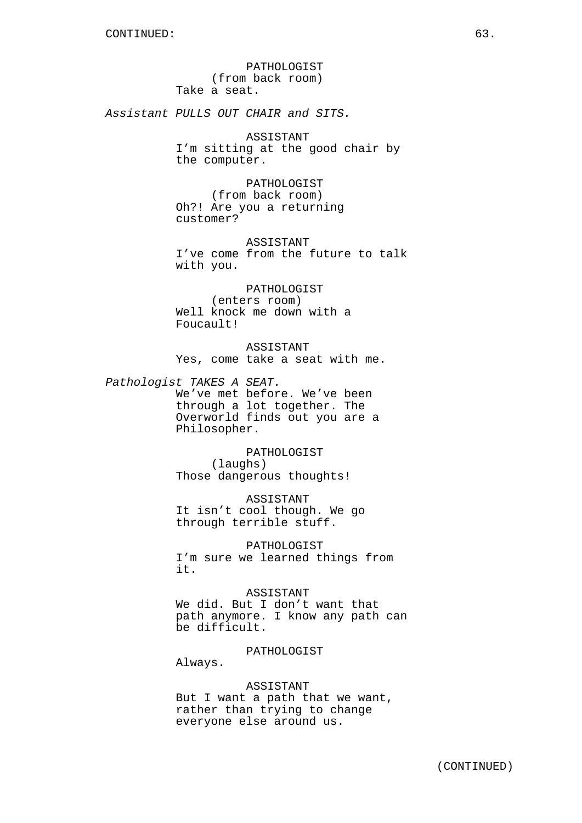PATHOLOGIST (from back room) Take a seat.

Assistant PULLS OUT CHAIR and SITS.

ASSISTANT I'm sitting at the good chair by the computer.

PATHOLOGIST (from back room) Oh?! Are you a returning customer?

ASSISTANT I've come from the future to talk with you.

PATHOLOGIST (enters room) Well knock me down with a Foucault!

ASSISTANT Yes, come take a seat with me.

Pathologist TAKES A SEAT. We've met before. We've been

through a lot together. The Overworld finds out you are a Philosopher.

PATHOLOGIST (laughs) Those dangerous thoughts!

ASSISTANT It isn't cool though. We go through terrible stuff.

PATHOLOGIST I'm sure we learned things from it.

ASSISTANT We did. But I don't want that path anymore. I know any path can

PATHOLOGIST

Always.

be difficult.

### ASSISTANT

But I want a path that we want, rather than trying to change everyone else around us.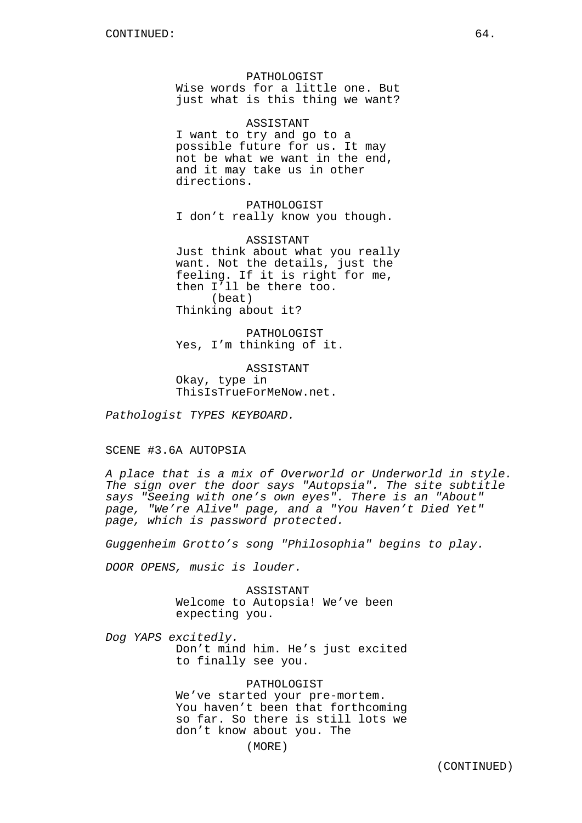PATHOLOGIST Wise words for a little one. But just what is this thing we want?

ASSISTANT I want to try and go to a possible future for us. It may not be what we want in the end, and it may take us in other directions.

PATHOLOGIST I don't really know you though.

ASSISTANT Just think about what you really want. Not the details, just the feeling. If it is right for me, then I'll be there too. (beat) Thinking about it?

PATHOLOGIST Yes, I'm thinking of it.

ASSISTANT Okay, type in ThisIsTrueForMeNow.net.

Pathologist TYPES KEYBOARD.

## SCENE #3.6A AUTOPSIA

A place that is a mix of Overworld or Underworld in style. The sign over the door says "Autopsia". The site subtitle says "Seeing with one's own eyes". There is an "About" page, "We're Alive" page, and a "You Haven't Died Yet" page, which is password protected.

Guggenheim Grotto's song "Philosophia" begins to play.

DOOR OPENS, music is louder.

ASSISTANT Welcome to Autopsia! We've been expecting you.

Dog YAPS excitedly. Don't mind him. He's just excited to finally see you.

# PATHOLOGIST

We've started your pre-mortem. You haven't been that forthcoming so far. So there is still lots we don't know about you. The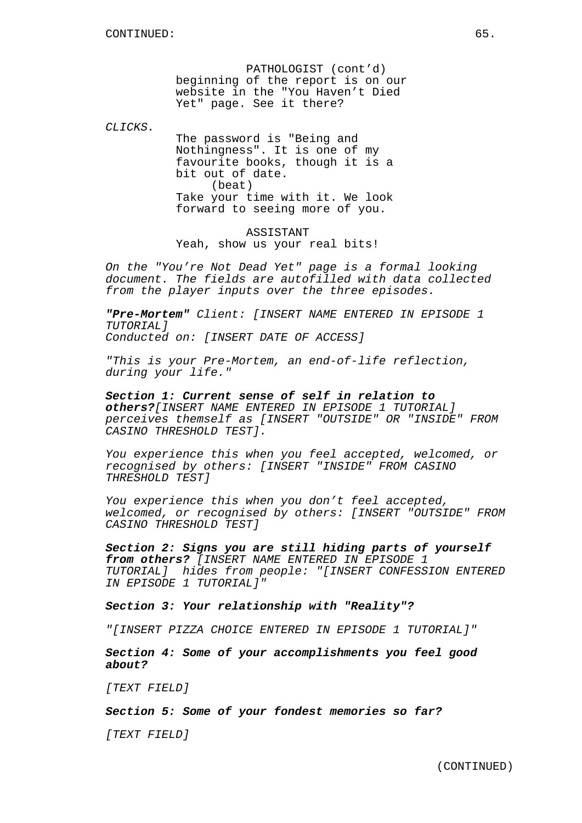PATHOLOGIST (cont'd) beginning of the report is on our website in the "You Haven't Died Yet" page. See it there?

 $C_I$ ,  $T C K S$ 

The password is "Being and Nothingness". It is one of my favourite books, though it is a bit out of date. (beat) Take your time with it. We look forward to seeing more of you.

ASSISTANT Yeah, show us your real bits!

On the "You're Not Dead Yet" page is a formal looking document. The fields are autofilled with data collected from the player inputs over the three episodes.

**"Pre-Mortem"** Client: [INSERT NAME ENTERED IN EPISODE 1 TUTORIAL] Conducted on: [INSERT DATE OF ACCESS]

"This is your Pre-Mortem, an end-of-life reflection, during your life."

**Section 1: Current sense of self in relation to others?**[INSERT NAME ENTERED IN EPISODE 1 TUTORIAL] perceives themself as [INSERT "OUTSIDE" OR "INSIDE" FROM CASINO THRESHOLD TEST].

You experience this when you feel accepted, welcomed, or recognised by others: [INSERT "INSIDE" FROM CASINO THRESHOLD TEST]

You experience this when you don't feel accepted, welcomed, or recognised by others: [INSERT "OUTSIDE" FROM CASINO THRESHOLD TEST]

**Section 2: Signs you are still hiding parts of yourself from others?** [INSERT NAME ENTERED IN EPISODE 1 TUTORIAL] hides from people: "[INSERT CONFESSION ENTERED IN EPISODE 1 TUTORIAL]"

**Section 3: Your relationship with "Reality"?**

"[INSERT PIZZA CHOICE ENTERED IN EPISODE 1 TUTORIAL]"

**Section 4: Some of your accomplishments you feel good about?**

[TEXT FIELD]

**Section 5: Some of your fondest memories so far?**

[TEXT FIELD]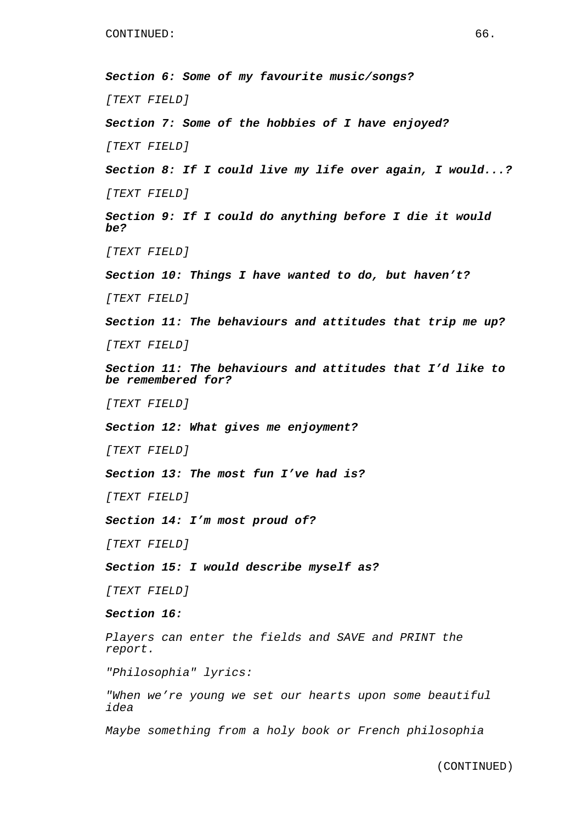**Section 6: Some of my favourite music/songs?** [TEXT FIELD] **Section 7: Some of the hobbies of I have enjoyed?** [TEXT FIELD] **Section 8: If I could live my life over again, I would...?** [TEXT FIELD] **Section 9: If I could do anything before I die it would be?** [TEXT FIELD] **Section 10: Things I have wanted to do, but haven't?** [TEXT FIELD] **Section 11: The behaviours and attitudes that trip me up?** [TEXT FIELD] **Section 11: The behaviours and attitudes that I'd like to be remembered for?** [TEXT FIELD] **Section 12: What gives me enjoyment?** [TEXT FIELD] **Section 13: The most fun I've had is?** [TEXT FIELD] **Section 14: I'm most proud of?** [TEXT FIELD] **Section 15: I would describe myself as?** [TEXT FIELD] **Section 16:** Players can enter the fields and SAVE and PRINT the report. "Philosophia" lyrics: "When we're young we set our hearts upon some beautiful idea Maybe something from a holy book or French philosophia

(CONTINUED)